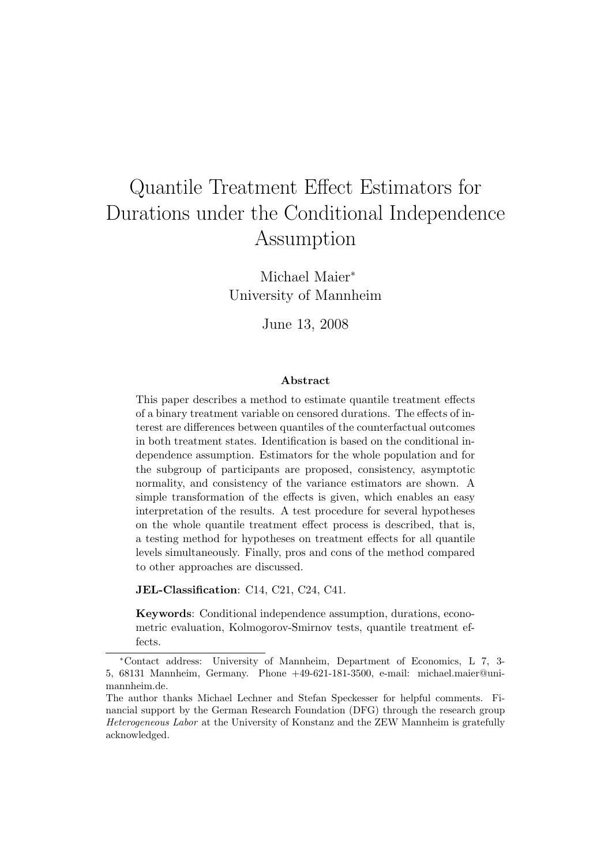# Quantile Treatment Effect Estimators for Durations under the Conditional Independence Assumption

Michael Maier<sup>∗</sup> University of Mannheim

June 13, 2008

#### Abstract

This paper describes a method to estimate quantile treatment effects of a binary treatment variable on censored durations. The effects of interest are differences between quantiles of the counterfactual outcomes in both treatment states. Identification is based on the conditional independence assumption. Estimators for the whole population and for the subgroup of participants are proposed, consistency, asymptotic normality, and consistency of the variance estimators are shown. A simple transformation of the effects is given, which enables an easy interpretation of the results. A test procedure for several hypotheses on the whole quantile treatment effect process is described, that is, a testing method for hypotheses on treatment effects for all quantile levels simultaneously. Finally, pros and cons of the method compared to other approaches are discussed.

JEL-Classification: C14, C21, C24, C41.

Keywords: Conditional independence assumption, durations, econometric evaluation, Kolmogorov-Smirnov tests, quantile treatment effects.

<sup>∗</sup>Contact address: University of Mannheim, Department of Economics, L 7, 3- 5, 68131 Mannheim, Germany. Phone +49-621-181-3500, e-mail: michael.maier@unimannheim.de.

The author thanks Michael Lechner and Stefan Speckesser for helpful comments. Financial support by the German Research Foundation (DFG) through the research group Heterogeneous Labor at the University of Konstanz and the ZEW Mannheim is gratefully acknowledged.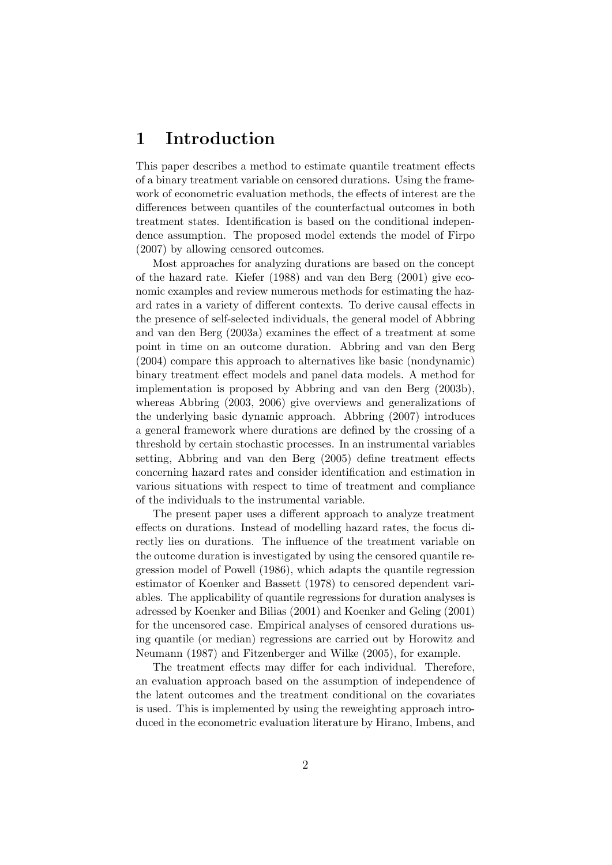## 1 Introduction

This paper describes a method to estimate quantile treatment effects of a binary treatment variable on censored durations. Using the framework of econometric evaluation methods, the effects of interest are the differences between quantiles of the counterfactual outcomes in both treatment states. Identification is based on the conditional independence assumption. The proposed model extends the model of Firpo (2007) by allowing censored outcomes.

Most approaches for analyzing durations are based on the concept of the hazard rate. Kiefer (1988) and van den Berg (2001) give economic examples and review numerous methods for estimating the hazard rates in a variety of different contexts. To derive causal effects in the presence of self-selected individuals, the general model of Abbring and van den Berg (2003a) examines the effect of a treatment at some point in time on an outcome duration. Abbring and van den Berg (2004) compare this approach to alternatives like basic (nondynamic) binary treatment effect models and panel data models. A method for implementation is proposed by Abbring and van den Berg (2003b), whereas Abbring (2003, 2006) give overviews and generalizations of the underlying basic dynamic approach. Abbring (2007) introduces a general framework where durations are defined by the crossing of a threshold by certain stochastic processes. In an instrumental variables setting, Abbring and van den Berg (2005) define treatment effects concerning hazard rates and consider identification and estimation in various situations with respect to time of treatment and compliance of the individuals to the instrumental variable.

The present paper uses a different approach to analyze treatment effects on durations. Instead of modelling hazard rates, the focus directly lies on durations. The influence of the treatment variable on the outcome duration is investigated by using the censored quantile regression model of Powell (1986), which adapts the quantile regression estimator of Koenker and Bassett (1978) to censored dependent variables. The applicability of quantile regressions for duration analyses is adressed by Koenker and Bilias (2001) and Koenker and Geling (2001) for the uncensored case. Empirical analyses of censored durations using quantile (or median) regressions are carried out by Horowitz and Neumann (1987) and Fitzenberger and Wilke (2005), for example.

The treatment effects may differ for each individual. Therefore, an evaluation approach based on the assumption of independence of the latent outcomes and the treatment conditional on the covariates is used. This is implemented by using the reweighting approach introduced in the econometric evaluation literature by Hirano, Imbens, and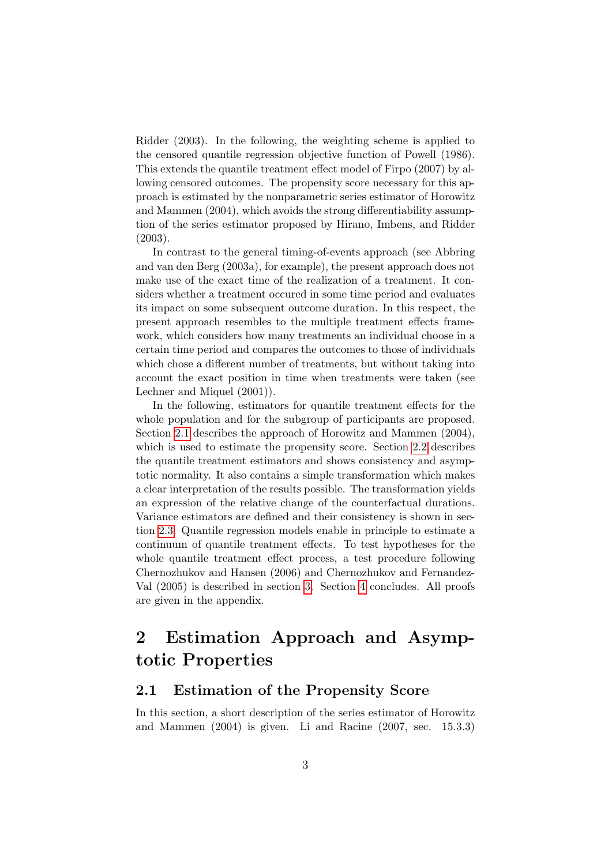Ridder (2003). In the following, the weighting scheme is applied to the censored quantile regression objective function of Powell (1986). This extends the quantile treatment effect model of Firpo (2007) by allowing censored outcomes. The propensity score necessary for this approach is estimated by the nonparametric series estimator of Horowitz and Mammen (2004), which avoids the strong differentiability assumption of the series estimator proposed by Hirano, Imbens, and Ridder (2003).

In contrast to the general timing-of-events approach (see Abbring and van den Berg (2003a), for example), the present approach does not make use of the exact time of the realization of a treatment. It considers whether a treatment occured in some time period and evaluates its impact on some subsequent outcome duration. In this respect, the present approach resembles to the multiple treatment effects framework, which considers how many treatments an individual choose in a certain time period and compares the outcomes to those of individuals which chose a different number of treatments, but without taking into account the exact position in time when treatments were taken (see Lechner and Miquel (2001)).

In the following, estimators for quantile treatment effects for the whole population and for the subgroup of participants are proposed. Section [2.1](#page-2-0) describes the approach of Horowitz and Mammen (2004), which is used to estimate the propensity score. Section [2.2](#page-6-0) describes the quantile treatment estimators and shows consistency and asymptotic normality. It also contains a simple transformation which makes a clear interpretation of the results possible. The transformation yields an expression of the relative change of the counterfactual durations. Variance estimators are defined and their consistency is shown in section [2.3.](#page-8-0) Quantile regression models enable in principle to estimate a continuum of quantile treatment effects. To test hypotheses for the whole quantile treatment effect process, a test procedure following Chernozhukov and Hansen (2006) and Chernozhukov and Fernandez-Val (2005) is described in section [3.](#page-12-0) Section [4](#page-15-0) concludes. All proofs are given in the appendix.

## 2 Estimation Approach and Asymptotic Properties

#### <span id="page-2-0"></span>2.1 Estimation of the Propensity Score

In this section, a short description of the series estimator of Horowitz and Mammen (2004) is given. Li and Racine (2007, sec. 15.3.3)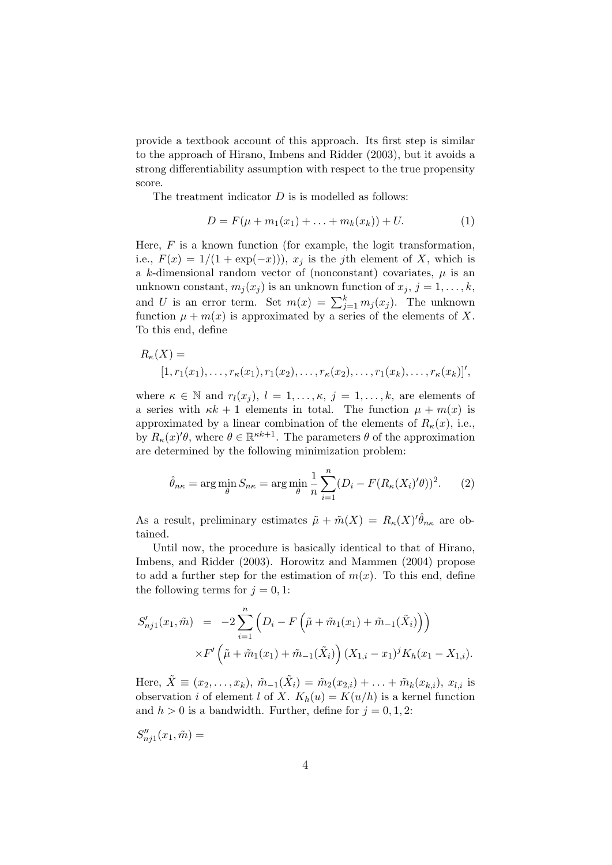provide a textbook account of this approach. Its first step is similar to the approach of Hirano, Imbens and Ridder (2003), but it avoids a strong differentiability assumption with respect to the true propensity score.

The treatment indicator  $D$  is is modelled as follows:

$$
D = F(\mu + m_1(x_1) + \ldots + m_k(x_k)) + U.
$$
 (1)

Here,  $F$  is a known function (for example, the logit transformation, i.e.,  $F(x) = 1/(1 + \exp(-x))$ ,  $x<sub>j</sub>$  is the jth element of X, which is a k-dimensional random vector of (nonconstant) covariates,  $\mu$  is an unknown constant,  $m_i(x_i)$  is an unknown function of  $x_i$ ,  $j = 1, \ldots, k$ , and U is an error term. Set  $m(x) = \sum_{j=1}^{k} m_j(x_j)$ . The unknown function  $\mu + m(x)$  is approximated by a series of the elements of X. To this end, define

$$
R_{\kappa}(X) = [1, r_1(x_1), \dots, r_{\kappa}(x_1), r_1(x_2), \dots, r_{\kappa}(x_2), \dots, r_1(x_k), \dots, r_{\kappa}(x_k)]',
$$

where  $\kappa \in \mathbb{N}$  and  $r_l(x_i), l = 1, \ldots, \kappa, j = 1, \ldots, k$ , are elements of a series with  $\kappa k + 1$  elements in total. The function  $\mu + m(x)$  is approximated by a linear combination of the elements of  $R_{\kappa}(x)$ , i.e., by  $R_{\kappa}(x)'\theta$ , where  $\theta \in \mathbb{R}^{\kappa k+1}$ . The parameters  $\theta$  of the approximation are determined by the following minimization problem:

$$
\hat{\theta}_{n\kappa} = \arg\min_{\theta} S_{n\kappa} = \arg\min_{\theta} \frac{1}{n} \sum_{i=1}^{n} (D_i - F(R_{\kappa}(X_i)' \theta))^2.
$$
 (2)

As a result, preliminary estimates  $\tilde{\mu} + \tilde{m}(X) = R_{\kappa}(X)^{\prime} \hat{\theta}_{n\kappa}$  are obtained.

Until now, the procedure is basically identical to that of Hirano, Imbens, and Ridder (2003). Horowitz and Mammen (2004) propose to add a further step for the estimation of  $m(x)$ . To this end, define the following terms for  $j = 0, 1$ :

$$
S'_{nj1}(x_1, \tilde{m}) = -2 \sum_{i=1}^{n} \left( D_i - F\left(\tilde{\mu} + \tilde{m}_1(x_1) + \tilde{m}_{-1}(\tilde{X}_i)\right) \right)
$$

$$
\times F'\left(\tilde{\mu} + \tilde{m}_1(x_1) + \tilde{m}_{-1}(\tilde{X}_i)\right) (X_{1,i} - x_1)^j K_h(x_1 - X_{1,i}).
$$

Here,  $\tilde{X} \equiv (x_2, \ldots, x_k)$ ,  $\tilde{m}_{-1}(\tilde{X}_i) = \tilde{m}_2(x_{2,i}) + \ldots + \tilde{m}_k(x_{k,i})$ ,  $x_{l,i}$  is observation i of element l of X.  $K_h(u) = K(u/h)$  is a kernel function and  $h > 0$  is a bandwidth. Further, define for  $j = 0, 1, 2$ :

$$
S''_{nj1}(x_1,\tilde m) =
$$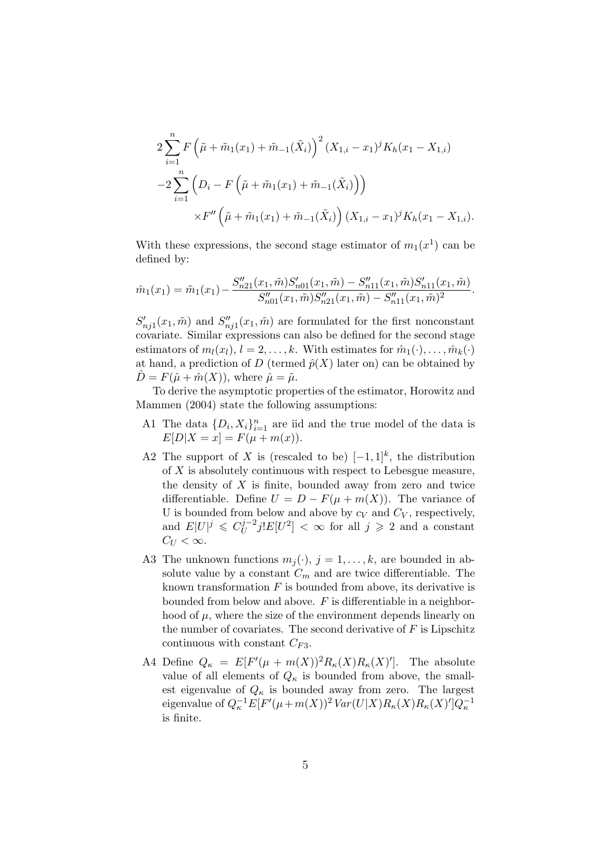$$
2\sum_{i=1}^{n} F\left(\tilde{\mu} + \tilde{m}_1(x_1) + \tilde{m}_{-1}(\tilde{X}_i)\right)^2 (X_{1,i} - x_1)^j K_h(x_1 - X_{1,i})
$$
  

$$
-2\sum_{i=1}^{n} \left(D_i - F\left(\tilde{\mu} + \tilde{m}_1(x_1) + \tilde{m}_{-1}(\tilde{X}_i)\right)\right)
$$
  

$$
\times F''\left(\tilde{\mu} + \tilde{m}_1(x_1) + \tilde{m}_{-1}(\tilde{X}_i)\right) (X_{1,i} - x_1)^j K_h(x_1 - X_{1,i}).
$$

With these expressions, the second stage estimator of  $m_1(x^1)$  can be defined by:

$$
\hat{m}_1(x_1) = \tilde{m}_1(x_1) - \frac{S''_{n21}(x_1, \tilde{m})S'_{n01}(x_1, \tilde{m}) - S''_{n11}(x_1, \tilde{m})S'_{n11}(x_1, \tilde{m})}{S''_{n01}(x_1, \tilde{m})S''_{n21}(x_1, \tilde{m}) - S''_{n11}(x_1, \tilde{m})^2}.
$$

 $S'_{nj1}(x_1, \tilde{m})$  and  $S''_{nj1}(x_1, \tilde{m})$  are formulated for the first nonconstant covariate. Similar expressions can also be defined for the second stage estimators of  $m_l(x_l)$ ,  $l = 2, \ldots, k$ . With estimates for  $\hat{m}_1(\cdot), \ldots, \hat{m}_k(\cdot)$ at hand, a prediction of D (termed  $\hat{p}(X)$  later on) can be obtained by  $\hat{D} = F(\hat{\mu} + \hat{m}(X))$ , where  $\hat{\mu} = \tilde{\mu}$ .

To derive the asymptotic properties of the estimator, Horowitz and Mammen (2004) state the following assumptions:

- A1 The data  $\{D_i, X_i\}_{i=1}^n$  are iid and the true model of the data is  $E[D|X = x] = F(\mu + m(x)).$
- A2 The support of X is (rescaled to be)  $[-1,1]^k$ , the distribution of  $X$  is absolutely continuous with respect to Lebesgue measure, the density of  $X$  is finite, bounded away from zero and twice differentiable. Define  $U = D - F(\mu + m(X))$ . The variance of U is bounded from below and above by  $c_V$  and  $C_V$ , respectively, and  $E|U|^j \leqslant C_U^{j-2}$  $\int_{U}^{j-2} j! E[U^2] < \infty$  for all  $j \geqslant 2$  and a constant  $C_U < \infty$ .
- A3 The unknown functions  $m_j(\cdot)$ ,  $j = 1, \ldots, k$ , are bounded in absolute value by a constant  $C_m$  and are twice differentiable. The known transformation  $F$  is bounded from above, its derivative is bounded from below and above.  $F$  is differentiable in a neighborhood of  $\mu$ , where the size of the environment depends linearly on the number of covariates. The second derivative of  $F$  is Lipschitz continuous with constant  $C_{F3}$ .
- A4 Define  $Q_{\kappa} = E[F'(\mu + m(X))^2 R_{\kappa}(X) R_{\kappa}(X)']$ . The absolute value of all elements of  $Q_{\kappa}$  is bounded from above, the smallest eigenvalue of  $Q_{\kappa}$  is bounded away from zero. The largest eigenvalue of  $Q_{\kappa}^{-1}E[F'(\mu+m(X))^2 Var(U|X)R_{\kappa}(X)R_{\kappa}(X)']Q_{\kappa}^{-1}$ is finite.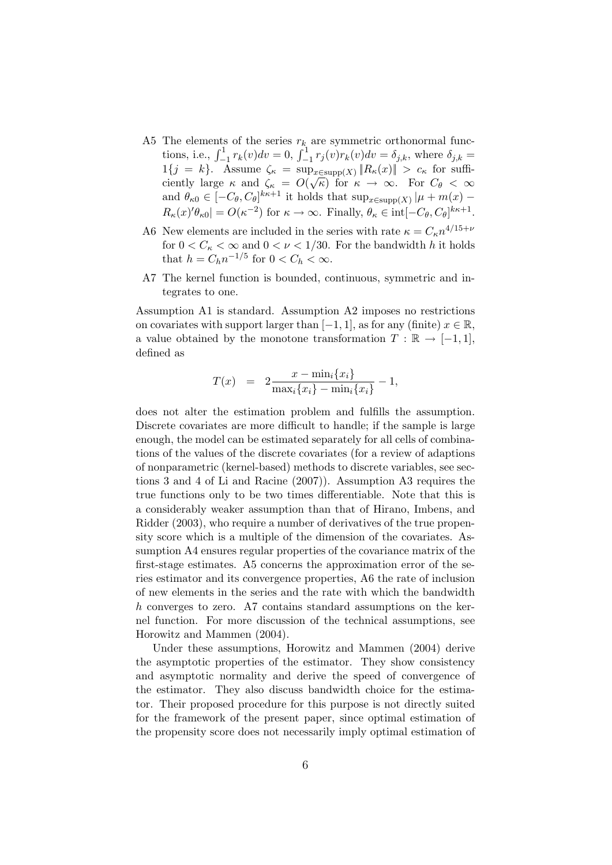- A5 The elements of the series  $r_k$  are symmetric orthonormal functions, i.e.,  $\int_{-1}^{1} r_k(v) dv = 0$ ,  $\int_{-1}^{1} r_j(v) r_k(v) dv = \delta_{j,k}$ , where  $\delta_{j,k}$  $1\{j = k\}.$  Assume  $\zeta_{\kappa} = \sup_{x \in \text{supp}(X)} ||R_{\kappa}(x)|| > c_{\kappa}$  for suffi- $\lim_{\epsilon \to 0} \frac{\epsilon}{\epsilon} = \sup_{x \in \text{supp}(X)} \frac{\epsilon}{\epsilon} \mathbb{E}(x, y)$  if  $\epsilon \in \mathcal{C}(\sqrt{\kappa})$  for  $\kappa \to \infty$ . For  $C_{\theta} < \infty$ and  $\theta_{\kappa 0} \in [-C_{\theta}, C_{\theta}]^{k\kappa+1}$  it holds that  $\sup_{x \in \text{supp}(X)} |\mu + m(x) R_{\kappa}(x)'\theta_{\kappa 0}| = O(\kappa^{-2})$  for  $\kappa \to \infty$ . Finally,  $\theta_{\kappa} \in \text{int}[-C_{\theta}, C_{\theta}]^{k\kappa+1}$ .
- A6 New elements are included in the series with rate  $\kappa = C_{\kappa} n^{4/15+\nu}$ for  $0 < C_{\kappa} < \infty$  and  $0 < \nu < 1/30$ . For the bandwidth h it holds that  $h = C_h n^{-1/5}$  for  $0 < C_h < \infty$ .
- A7 The kernel function is bounded, continuous, symmetric and integrates to one.

Assumption A1 is standard. Assumption A2 imposes no restrictions on covariates with support larger than  $[-1, 1]$ , as for any (finite)  $x \in \mathbb{R}$ , a value obtained by the monotone transformation  $T : \mathbb{R} \to [-1,1],$ defined as

$$
T(x) = 2 \frac{x - \min_i \{x_i\}}{\max_i \{x_i\} - \min_i \{x_i\}} - 1,
$$

does not alter the estimation problem and fulfills the assumption. Discrete covariates are more difficult to handle; if the sample is large enough, the model can be estimated separately for all cells of combinations of the values of the discrete covariates (for a review of adaptions of nonparametric (kernel-based) methods to discrete variables, see sections 3 and 4 of Li and Racine (2007)). Assumption A3 requires the true functions only to be two times differentiable. Note that this is a considerably weaker assumption than that of Hirano, Imbens, and Ridder (2003), who require a number of derivatives of the true propensity score which is a multiple of the dimension of the covariates. Assumption A4 ensures regular properties of the covariance matrix of the first-stage estimates. A5 concerns the approximation error of the series estimator and its convergence properties, A6 the rate of inclusion of new elements in the series and the rate with which the bandwidth h converges to zero. A7 contains standard assumptions on the kernel function. For more discussion of the technical assumptions, see Horowitz and Mammen (2004).

Under these assumptions, Horowitz and Mammen (2004) derive the asymptotic properties of the estimator. They show consistency and asymptotic normality and derive the speed of convergence of the estimator. They also discuss bandwidth choice for the estimator. Their proposed procedure for this purpose is not directly suited for the framework of the present paper, since optimal estimation of the propensity score does not necessarily imply optimal estimation of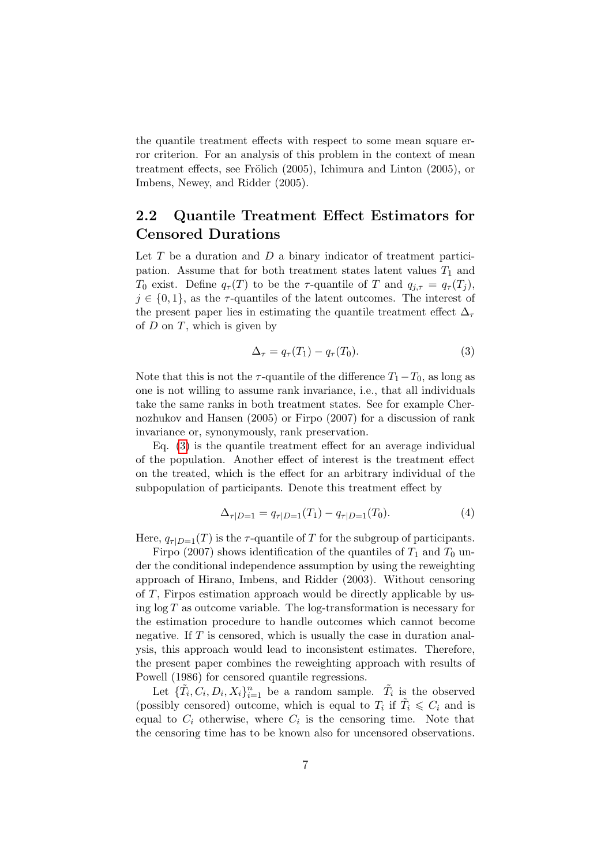the quantile treatment effects with respect to some mean square error criterion. For an analysis of this problem in the context of mean treatment effects, see Frölich  $(2005)$ , Ichimura and Linton  $(2005)$ , or Imbens, Newey, and Ridder (2005).

### <span id="page-6-0"></span>2.2 Quantile Treatment Effect Estimators for Censored Durations

Let  $T$  be a duration and  $D$  a binary indicator of treatment participation. Assume that for both treatment states latent values  $T_1$  and T<sub>0</sub> exist. Define  $q_{\tau}(T)$  to be the  $\tau$ -quantile of T and  $q_{j,\tau} = q_{\tau}(T_j)$ ,  $j \in \{0,1\}$ , as the  $\tau$ -quantiles of the latent outcomes. The interest of the present paper lies in estimating the quantile treatment effect  $\Delta_{\tau}$ of  $D$  on  $T$ , which is given by

<span id="page-6-1"></span>
$$
\Delta_{\tau} = q_{\tau}(T_1) - q_{\tau}(T_0). \tag{3}
$$

Note that this is not the  $\tau$ -quantile of the difference  $T_1-T_0$ , as long as one is not willing to assume rank invariance, i.e., that all individuals take the same ranks in both treatment states. See for example Chernozhukov and Hansen (2005) or Firpo (2007) for a discussion of rank invariance or, synonymously, rank preservation.

Eq. [\(3\)](#page-6-1) is the quantile treatment effect for an average individual of the population. Another effect of interest is the treatment effect on the treated, which is the effect for an arbitrary individual of the subpopulation of participants. Denote this treatment effect by

$$
\Delta_{\tau|D=1} = q_{\tau|D=1}(T_1) - q_{\tau|D=1}(T_0). \tag{4}
$$

Here,  $q_{\tau|D=1}(T)$  is the  $\tau$ -quantile of T for the subgroup of participants.

Firpo (2007) shows identification of the quantiles of  $T_1$  and  $T_0$  under the conditional independence assumption by using the reweighting approach of Hirano, Imbens, and Ridder (2003). Without censoring of T, Firpos estimation approach would be directly applicable by using  $\log T$  as outcome variable. The  $\log$ -transformation is necessary for the estimation procedure to handle outcomes which cannot become negative. If  $T$  is censored, which is usually the case in duration analysis, this approach would lead to inconsistent estimates. Therefore, the present paper combines the reweighting approach with results of Powell (1986) for censored quantile regressions.

Let  $\{\tilde{T}_i, C_i, D_i, X_i\}_{i=1}^n$  be a random sample.  $\tilde{T}_i$  is the observed (possibly censored) outcome, which is equal to  $T_i$  if  $\tilde{T}_i \leqslant C_i$  and is equal to  $C_i$  otherwise, where  $C_i$  is the censoring time. Note that the censoring time has to be known also for uncensored observations.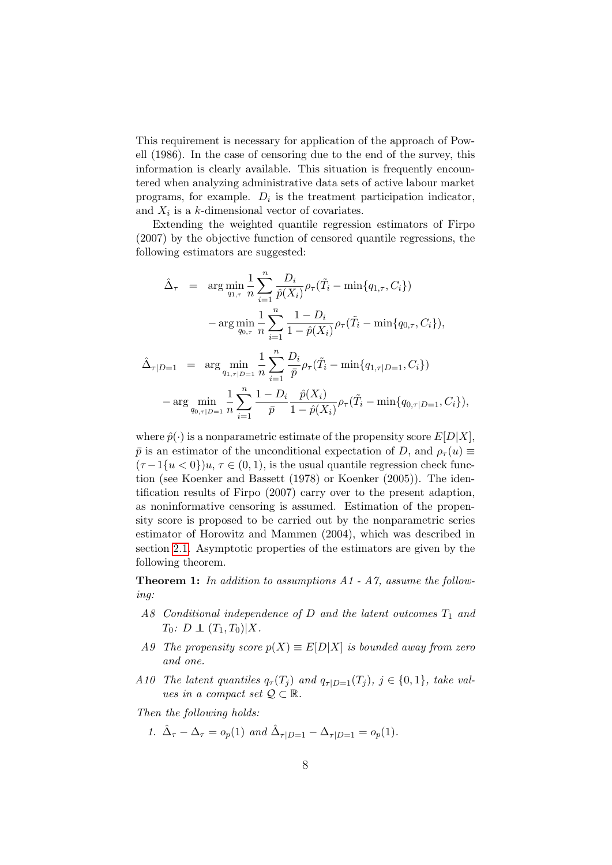This requirement is necessary for application of the approach of Powell (1986). In the case of censoring due to the end of the survey, this information is clearly available. This situation is frequently encountered when analyzing administrative data sets of active labour market programs, for example.  $D_i$  is the treatment participation indicator, and  $X_i$  is a k-dimensional vector of covariates.

Extending the weighted quantile regression estimators of Firpo (2007) by the objective function of censored quantile regressions, the following estimators are suggested:

$$
\hat{\Delta}_{\tau} = \arg \min_{q_{1,\tau}} \frac{1}{n} \sum_{i=1}^{n} \frac{D_i}{\hat{p}(X_i)} \rho_{\tau}(\tilde{T}_i - \min\{q_{1,\tau}, C_i\})
$$

$$
- \arg \min_{q_{0,\tau}} \frac{1}{n} \sum_{i=1}^{n} \frac{1 - D_i}{1 - \hat{p}(X_i)} \rho_{\tau}(\tilde{T}_i - \min\{q_{0,\tau}, C_i\}),
$$

$$
\hat{\Delta}_{\tau|D=1} = \arg \min_{q_{1,\tau|D=1}} \frac{1}{n} \sum_{i=1}^{n} \frac{D_i}{\bar{p}} \rho_{\tau}(\tilde{T}_i - \min\{q_{1,\tau|D=1}, C_i\})
$$

$$
-\arg \min_{q_{0,\tau|D=1}} \frac{1}{n} \sum_{i=1}^{n} \frac{1 - D_i}{\bar{p}} \frac{\hat{p}(X_i)}{1 - \hat{p}(X_i)} \rho_{\tau}(\tilde{T}_i - \min\{q_{0,\tau|D=1}, C_i\}),
$$

where  $\hat{p}(\cdot)$  is a nonparametric estimate of the propensity score  $E[D|X]$ ,  $\bar{p}$  is an estimator of the unconditional expectation of D, and  $\rho_{\tau}(u) \equiv$  $(\tau - 1\{u < 0\})u, \tau \in (0, 1)$ , is the usual quantile regression check function (see Koenker and Bassett (1978) or Koenker (2005)). The identification results of Firpo (2007) carry over to the present adaption, as noninformative censoring is assumed. Estimation of the propensity score is proposed to be carried out by the nonparametric series estimator of Horowitz and Mammen (2004), which was described in section [2.1.](#page-2-0) Asymptotic properties of the estimators are given by the following theorem.

**Theorem 1:** In addition to assumptions  $A1 - A7$ , assume the following:

- A8 Conditional independence of D and the latent outcomes  $T_1$  and  $T_0: D \perp (T_1, T_0)|X.$
- A9 The propensity score  $p(X) \equiv E[D|X]$  is bounded away from zero and one.
- A10 The latent quantiles  $q_{\tau}(T_i)$  and  $q_{\tau|D=1}(T_i)$ ,  $j \in \{0,1\}$ , take values in a compact set  $\mathcal{Q} \subset \mathbb{R}$ .

Then the following holds:

1.  $\hat{\Delta}_{\tau} - \Delta_{\tau} = o_p(1)$  and  $\hat{\Delta}_{\tau|D=1} - \Delta_{\tau|D=1} = o_p(1)$ .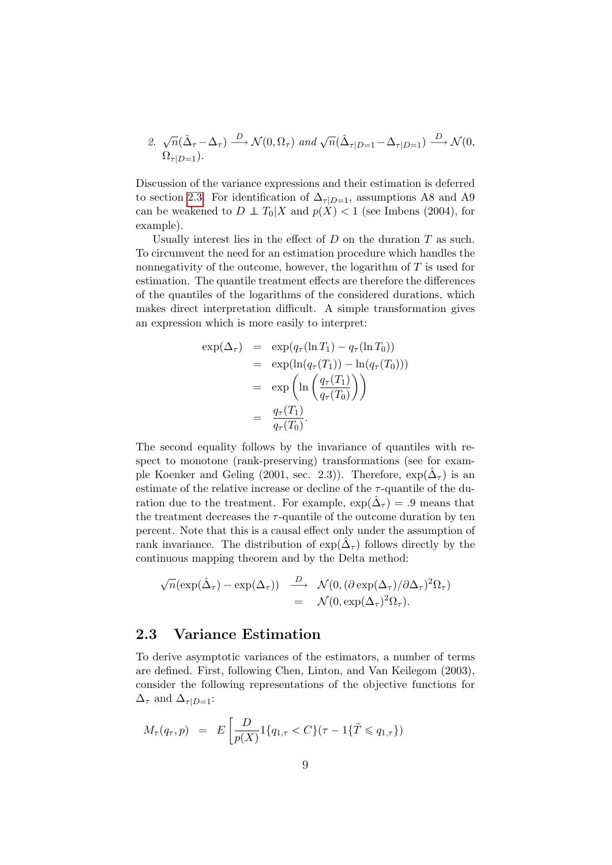2. 
$$
\sqrt{n}(\hat{\Delta}_{\tau}-\Delta_{\tau}) \stackrel{D}{\longrightarrow} \mathcal{N}(0,\Omega_{\tau})
$$
 and  $\sqrt{n}(\hat{\Delta}_{\tau|D=1}-\Delta_{\tau|D=1}) \stackrel{D}{\longrightarrow} \mathcal{N}(0,\Omega_{\tau|D=1}).$ 

Discussion of the variance expressions and their estimation is deferred to section [2.3.](#page-8-0) For identification of  $\Delta_{\tau|D=1}$ , assumptions A8 and A9 can be weakened to  $D \perp T_0|X$  and  $p(X) < 1$  (see Imbens (2004), for example).

Usually interest lies in the effect of  $D$  on the duration  $T$  as such. To circumvent the need for an estimation procedure which handles the nonnegativity of the outcome, however, the logarithm of  $T$  is used for estimation. The quantile treatment effects are therefore the differences of the quantiles of the logarithms of the considered durations, which makes direct interpretation difficult. A simple transformation gives an expression which is more easily to interpret:

$$
\exp(\Delta_{\tau}) = \exp(q_{\tau}(\ln T_1) - q_{\tau}(\ln T_0))
$$
  
\n
$$
= \exp(\ln(q_{\tau}(T_1)) - \ln(q_{\tau}(T_0)))
$$
  
\n
$$
= \exp\left(\ln\left(\frac{q_{\tau}(T_1)}{q_{\tau}(T_0)}\right)\right)
$$
  
\n
$$
= \frac{q_{\tau}(T_1)}{q_{\tau}(T_0)}.
$$

The second equality follows by the invariance of quantiles with respect to monotone (rank-preserving) transformations (see for example Koenker and Geling (2001, sec. 2.3)). Therefore,  $\exp(\hat{\Delta}_{\tau})$  is an estimate of the relative increase or decline of the  $\tau$ -quantile of the duration due to the treatment. For example,  $\exp(\hat{\Delta}_{\tau}) = .9$  means that the treatment decreases the  $\tau$ -quantile of the outcome duration by ten percent. Note that this is a causal effect only under the assumption of rank invariance. The distribution of  $\exp(\hat{\Delta}_{\tau})$  follows directly by the continuous mapping theorem and by the Delta method:

$$
\sqrt{n}(\exp(\hat{\Delta}_{\tau}) - \exp(\Delta_{\tau})) \xrightarrow{D} \mathcal{N}(0, (\partial \exp(\Delta_{\tau})/\partial \Delta_{\tau})^2 \Omega_{\tau})
$$
  
=  $\mathcal{N}(0, \exp(\Delta_{\tau})^2 \Omega_{\tau}).$ 

#### <span id="page-8-0"></span>2.3 Variance Estimation

To derive asymptotic variances of the estimators, a number of terms are defined. First, following Chen, Linton, and Van Keilegom (2003), consider the following representations of the objective functions for  $\Delta_{\tau}$  and  $\Delta_{\tau|D=1}$ :

$$
M_{\tau}(q_{\tau}, p) = E\left[\frac{D}{p(X)} 1\{q_{1,\tau} < C\} (\tau - 1\{\tilde{T} \leqslant q_{1,\tau}\})\right]
$$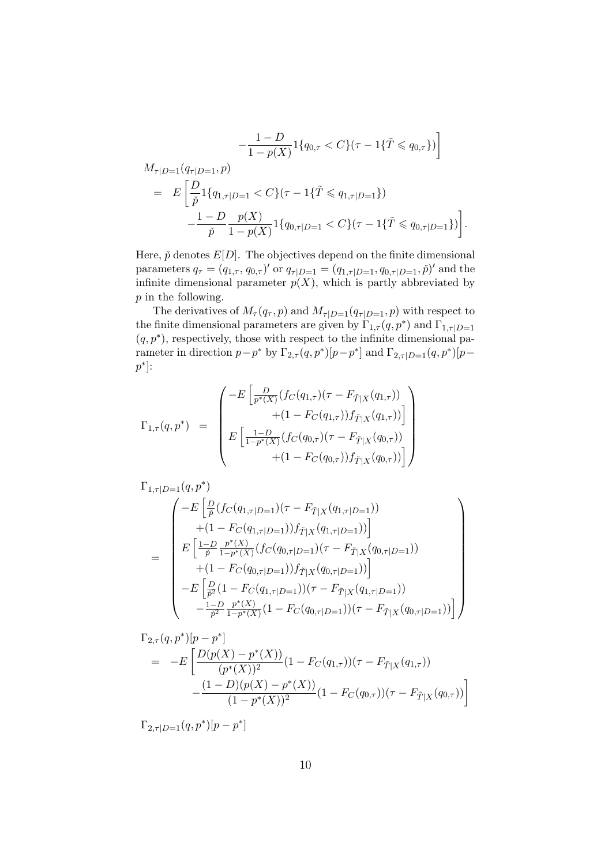$$
-\frac{1-D}{1-p(X)}1\{q_{0,\tau} < C\}(\tau - 1\{\tilde{T} \leq q_{0,\tau}\})\]
$$
\n
$$
M_{\tau|D=1}(q_{\tau|D=1}, p)
$$
\n
$$
= E\left[\frac{D}{\tilde{p}}1\{q_{1,\tau|D=1} < C\}(\tau - 1\{\tilde{T} \leq q_{1,\tau|D=1}\})\right]
$$
\n
$$
-\frac{1-D}{\tilde{p}}\frac{p(X)}{1-p(X)}1\{q_{0,\tau|D=1} < C\}(\tau - 1\{\tilde{T} \leq q_{0,\tau|D=1}\})\right].
$$

Here,  $\check{p}$  denotes  $E[D]$ . The objectives depend on the finite dimensional parameters  $q_{\tau} = (q_{1,\tau}, q_{0,\tau})'$  or  $q_{\tau|D=1} = (q_{1,\tau|D=1}, q_{0,\tau|D=1}, \tilde{p})'$  and the infinite dimensional parameter  $p(X)$ , which is partly abbreviated by p in the following.

The derivatives of  $M_{\tau}(q_{\tau}, p)$  and  $M_{\tau|D=1}(q_{\tau|D=1}, p)$  with respect to the finite dimensional parameters are given by  $\Gamma_{1,\tau}(q,p^*)$  and  $\Gamma_{1,\tau|D=1}$  $(q, p^*)$ , respectively, those with respect to the infinite dimensional parameter in direction  $p-p^*$  by  $\Gamma_{2,\tau}(q,p^*)[p-p^*]$  and  $\Gamma_{2,\tau|D=1}(q,p^*)[p-p^*]$  $p^*$ :

$$
\Gamma_{1,\tau}(q,p^*) = \begin{pmatrix} -E \left[ \frac{D}{p^*(X)} (f_C(q_{1,\tau})(\tau - F_{\tilde{T}|X}(q_{1,\tau})) + (1 - F_C(q_{1,\tau})) f_{\tilde{T}|X}(q_{1,\tau})) \right] \\ + (1 - F_C(q_{1,\tau})) f_{\tilde{T}|X}(q_{0,\tau})) \\ E \left[ \frac{1 - D}{1 - p^*(X)} (f_C(q_{0,\tau})(\tau - F_{\tilde{T}|X}(q_{0,\tau})) + (1 - F_C(q_{0,\tau})) f_{\tilde{T}|X}(q_{0,\tau})) \right] \end{pmatrix}
$$

$$
\Gamma_{1,\tau|D=1}(q,p^*)
$$
\n
$$
= \begin{pmatrix}\n-E\left[\frac{D}{\tilde{p}}(fc(q_{1,\tau|D=1})(\tau - F_{\tilde{T}|X}(q_{1,\tau|D=1}))\right.\\
+(1 - F_C(q_{1,\tau|D=1}))f_{\tilde{T}|X}(q_{1,\tau|D=1}))\right] \\
E\left[\frac{1-D}{\tilde{p}}\frac{p^*(X)}{1-p^*(X)}(fc(q_{0,\tau|D=1})(\tau - F_{\tilde{T}|X}(q_{0,\tau|D=1}))\right.\\
+(1 - F_C(q_{0,\tau|D=1}))f_{\tilde{T}|X}(q_{0,\tau|D=1}))\right] \\
-E\left[\frac{D}{\tilde{p}^2}(1 - F_C(q_{1,\tau|D=1}))(\tau - F_{\tilde{T}|X}(q_{1,\tau|D=1}))\right.\\
-\frac{1-D}{\tilde{p}^2}\frac{p^*(X)}{1-p^*(X)}(1 - F_C(q_{0,\tau|D=1}))(\tau - F_{\tilde{T}|X}(q_{0,\tau|D=1}))\right]\n\end{pmatrix}
$$

$$
\Gamma_{2,\tau}(q,p^*)[p-p^*]
$$
\n
$$
= -E\left[\frac{D(p(X)-p^*(X))}{(p^*(X))^2}(1-F_C(q_{1,\tau}))(\tau - F_{\tilde{T}|X}(q_{1,\tau})) - \frac{(1-D)(p(X)-p^*(X))}{(1-p^*(X))^2}(1-F_C(q_{0,\tau}))(\tau - F_{\tilde{T}|X}(q_{0,\tau}))\right]
$$

$$
\Gamma_{2,\tau|D=1}(q,p^*)[p-p^*]
$$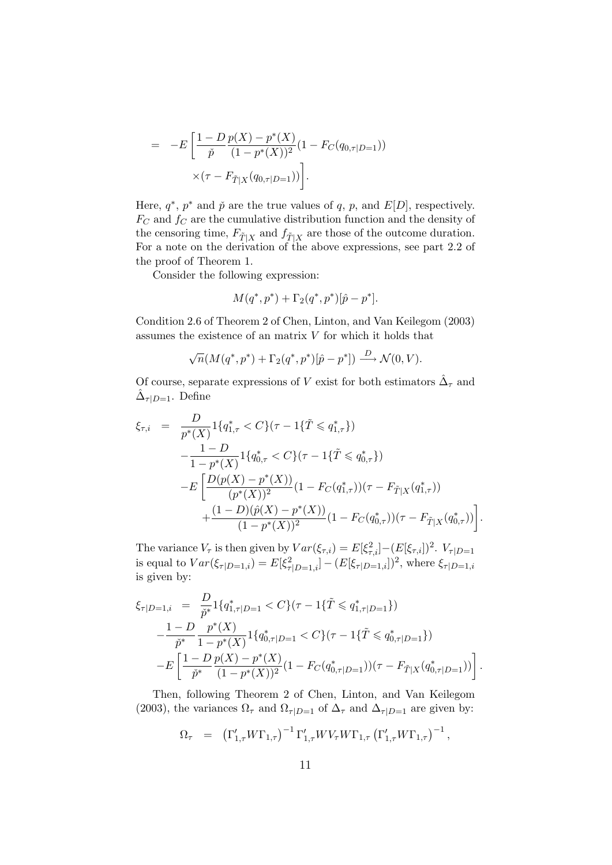$$
= -E \left[ \frac{1 - D \, p(X) - p^*(X)}{\check{p} \, (1 - p^*(X))^2} (1 - F_C(q_{0, \tau|D=1})) \times (\tau - F_{\tilde{T}|X}(q_{0, \tau|D=1})) \right].
$$

Here,  $q^*, p^*$  and  $\check{p}$  are the true values of q, p, and  $E[D]$ , respectively.  $F_C$  and  $f_C$  are the cumulative distribution function and the density of the censoring time,  $F_{\tilde{T}|X}$  and  $f_{\tilde{T}|X}$  are those of the outcome duration. For a note on the derivation of the above expressions, see part 2.2 of the proof of Theorem 1.

Consider the following expression:

$$
M(q^*, p^*) + \Gamma_2(q^*, p^*)[\hat{p} - p^*].
$$

Condition 2.6 of Theorem 2 of Chen, Linton, and Van Keilegom (2003) assumes the existence of an matrix  $V$  for which it holds that

$$
\sqrt{n}(M(q^*,p^*) + \Gamma_2(q^*,p^*)[\hat{p}-p^*]) \stackrel{D}{\longrightarrow} \mathcal{N}(0,V).
$$

Of course, separate expressions of V exist for both estimators  $\hat{\Delta}_{\tau}$  and  $\hat{\Delta}_{\tau|D=1}$ . Define

$$
\xi_{\tau,i} = \frac{D}{p^*(X)} \mathbf{1} \{q_{1,\tau}^* < C\} (\tau - 1\{\tilde{T} \leqslant q_{1,\tau}^*\})
$$
\n
$$
- \frac{1 - D}{1 - p^*(X)} \mathbf{1} \{q_{0,\tau}^* < C\} (\tau - 1\{\tilde{T} \leqslant q_{0,\tau}^*\})
$$
\n
$$
- E \left[ \frac{D(p(X) - p^*(X))}{(p^*(X))^2} (1 - F_C(q_{1,\tau}^*)) (\tau - F_{\tilde{T}|X}(q_{1,\tau}^*)) \right]
$$
\n
$$
+ \frac{(1 - D)(\hat{p}(X) - p^*(X))}{(1 - p^*(X))^2} (1 - F_C(q_{0,\tau}^*)) (\tau - F_{\tilde{T}|X}(q_{0,\tau}^*)) \right].
$$

The variance  $V_{\tau}$  is then given by  $Var(\xi_{\tau,i}) = E[\xi_{\tau,i}^2] - (E[\xi_{\tau,i}])^2$ .  $V_{\tau|D=1}$ is equal to  $Var(\xi_{\tau|D=1,i}) = E[\xi_{\tau|D=1,i}^2] - (E[\xi_{\tau|D=1,i}])^2$ , where  $\xi_{\tau|D=1,i}$ is given by:

$$
\xi_{\tau|D=1,i} = \frac{D}{\tilde{p}^*} \mathbb{1}\{q^*_{1,\tau|D=1} < C\}(\tau - 1\{\tilde{T} \leqslant q^*_{1,\tau|D=1}\})
$$
\n
$$
-\frac{1 - D}{\tilde{p}^*} \frac{p^*(X)}{1 - p^*(X)} \mathbb{1}\{q^*_{0,\tau|D=1} < C\}(\tau - 1\{\tilde{T} \leqslant q^*_{0,\tau|D=1}\})
$$
\n
$$
-E\left[\frac{1 - D}{\tilde{p}^*} \frac{p(X) - p^*(X)}{(1 - p^*(X))^2} (1 - F_C(q^*_{0,\tau|D=1})) (\tau - F_{\tilde{T}|X}(q^*_{0,\tau|D=1}))\right].
$$

Then, following Theorem 2 of Chen, Linton, and Van Keilegom (2003), the variances  $\Omega_{\tau}$  and  $\Omega_{\tau|D=1}$  of  $\Delta_{\tau}$  and  $\Delta_{\tau|D=1}$  are given by:

$$
\Omega_{\tau} = (\Gamma'_{1,\tau} W \Gamma_{1,\tau})^{-1} \Gamma'_{1,\tau} W V_{\tau} W \Gamma_{1,\tau} (\Gamma'_{1,\tau} W \Gamma_{1,\tau})^{-1},
$$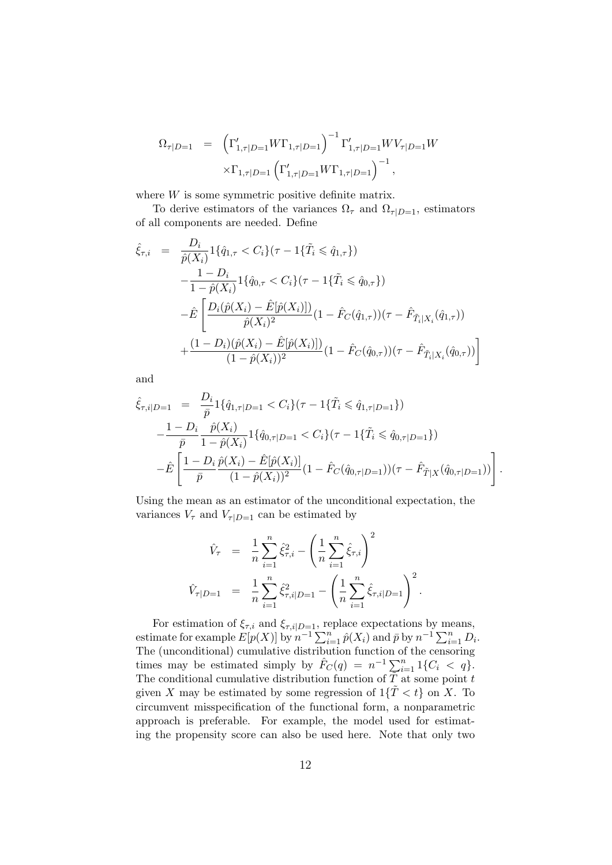$$
\Omega_{\tau|D=1} = \left(\Gamma'_{1,\tau|D=1} W \Gamma_{1,\tau|D=1}\right)^{-1} \Gamma'_{1,\tau|D=1} W V_{\tau|D=1} W
$$

$$
\times \Gamma_{1,\tau|D=1} \left(\Gamma'_{1,\tau|D=1} W \Gamma_{1,\tau|D=1}\right)^{-1},
$$

where W is some symmetric positive definite matrix.

To derive estimators of the variances  $\Omega_{\tau}$  and  $\Omega_{\tau|D=1}$ , estimators of all components are needed. Define

$$
\hat{\xi}_{\tau,i} = \frac{D_i}{\hat{p}(X_i)} \mathbf{1} \{ \hat{q}_{1,\tau} < C_i \} (\tau - 1 \{ \tilde{T}_i \leq \hat{q}_{1,\tau} \}) \n- \frac{1 - D_i}{1 - \hat{p}(X_i)} \mathbf{1} \{ \hat{q}_{0,\tau} < C_i \} (\tau - 1 \{ \tilde{T}_i \leq \hat{q}_{0,\tau} \}) \n- \hat{E} \left[ \frac{D_i (\hat{p}(X_i) - \hat{E}[\hat{p}(X_i)])}{\hat{p}(X_i)^2} (1 - \hat{F}_C(\hat{q}_{1,\tau})) (\tau - \hat{F}_{\tilde{T}_i|X_i}(\hat{q}_{1,\tau})) \n+ \frac{(1 - D_i)(\hat{p}(X_i) - \hat{E}[\hat{p}(X_i)])}{(1 - \hat{p}(X_i))^2} (1 - \hat{F}_C(\hat{q}_{0,\tau})) (\tau - \hat{F}_{\tilde{T}_i|X_i}(\hat{q}_{0,\tau})) \right]
$$

and

$$
\hat{\xi}_{\tau,i|D=1} = \frac{D_i}{\bar{p}} 1\{\hat{q}_{1,\tau|D=1} < C_i\}(\tau - 1\{\tilde{T}_i \leq \hat{q}_{1,\tau|D=1}\})
$$
\n
$$
-\frac{1 - D_i}{\bar{p}} \frac{\hat{p}(X_i)}{1 - \hat{p}(X_i)} 1\{\hat{q}_{0,\tau|D=1} < C_i\}(\tau - 1\{\tilde{T}_i \leq \hat{q}_{0,\tau|D=1}\})
$$
\n
$$
-\hat{E}\left[\frac{1 - D_i}{\bar{p}} \frac{\hat{p}(X_i) - \hat{E}[\hat{p}(X_i)]}{(1 - \hat{p}(X_i))^2} (1 - \hat{F}_C(\hat{q}_{0,\tau|D=1})) (\tau - \hat{F}_{\tilde{T}|X}(\hat{q}_{0,\tau|D=1}))\right].
$$

Using the mean as an estimator of the unconditional expectation, the variances  $V_{\tau}$  and  $V_{\tau|D=1}$  can be estimated by

$$
\hat{V}_{\tau} = \frac{1}{n} \sum_{i=1}^{n} \hat{\xi}_{\tau,i}^{2} - \left(\frac{1}{n} \sum_{i=1}^{n} \hat{\xi}_{\tau,i}\right)^{2}
$$

$$
\hat{V}_{\tau|D=1} = \frac{1}{n} \sum_{i=1}^{n} \hat{\xi}_{\tau,i|D=1}^{2} - \left(\frac{1}{n} \sum_{i=1}^{n} \hat{\xi}_{\tau,i|D=1}\right)^{2}.
$$

For estimation of  $\xi_{\tau,i}$  and  $\xi_{\tau,i|D=1}$ , replace expectations by means, estimate for example  $E[p(X)]$  by  $n^{-1} \sum_{i=1}^{n} \hat{p}(X_i)$  and  $\bar{p}$  by  $n^{-1} \sum_{i=1}^{n} D_i$ . The (unconditional) cumulative distribution function of the censoring times may be estimated simply by  $\hat{F}_C(q) = n^{-1} \sum_{i=1}^n 1\{C_i < q\}.$ The conditional cumulative distribution function of  $\tilde{T}$  at some point t given X may be estimated by some regression of  $1\{\tilde{T} < t\}$  on X. To circumvent misspecification of the functional form, a nonparametric approach is preferable. For example, the model used for estimating the propensity score can also be used here. Note that only two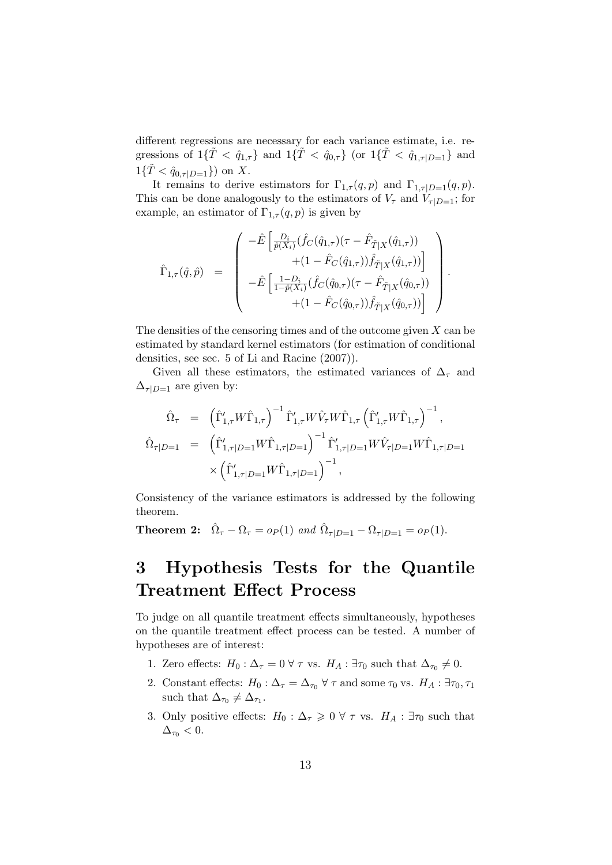different regressions are necessary for each variance estimate, i.e. regressions of  $1\{\tilde{T} < \hat{q}_{1,\tau}\}\$  and  $1\{\tilde{T} < \hat{q}_{0,\tau}\}\$  (or  $1\{\tilde{T} < \hat{q}_{1,\tau|D=1}\}\$  and  $1\{\tilde{T} < \hat{q}_{0,\tau|D=1}\}\)$  on X.

It remains to derive estimators for  $\Gamma_{1,\tau}(q, p)$  and  $\Gamma_{1,\tau|D=1}(q, p)$ . This can be done analogously to the estimators of  $V_{\tau}$  and  $V_{\tau|D=1}$ ; for example, an estimator of  $\Gamma_{1,\tau}(q,p)$  is given by

$$
\hat{\Gamma}_{1,\tau}(\hat{q},\hat{p}) = \begin{pmatrix}\n-\hat{E}\left[\frac{D_i}{\hat{p}(X_i)}(\hat{f}_C(\hat{q}_{1,\tau})(\tau - \hat{F}_{\tilde{T}|X}(\hat{q}_{1,\tau}))\right.\\
+(1 - \hat{F}_C(\hat{q}_{1,\tau}))\hat{f}_{\tilde{T}|X}(\hat{q}_{1,\tau}))\right] \\
-\hat{E}\left[\frac{1 - D_i}{1 - \hat{p}(X_i)}(\hat{f}_C(\hat{q}_{0,\tau})(\tau - \hat{F}_{\tilde{T}|X}(\hat{q}_{0,\tau}))\right.\\
+(1 - \hat{F}_C(\hat{q}_{0,\tau}))\hat{f}_{\tilde{T}|X}(\hat{q}_{0,\tau}))\right]\n\end{pmatrix}.
$$

The densities of the censoring times and of the outcome given  $X$  can be estimated by standard kernel estimators (for estimation of conditional densities, see sec. 5 of Li and Racine (2007)).

Given all these estimators, the estimated variances of  $\Delta_{\tau}$  and  $\Delta_{\tau|D=1}$  are given by:

$$
\hat{\Omega}_{\tau} = (\hat{\Gamma}'_{1,\tau} W \hat{\Gamma}_{1,\tau})^{-1} \hat{\Gamma}'_{1,\tau} W \hat{V}_{\tau} W \hat{\Gamma}_{1,\tau} (\hat{\Gamma}'_{1,\tau} W \hat{\Gamma}_{1,\tau})^{-1}, \n\hat{\Omega}_{\tau|D=1} = (\hat{\Gamma}'_{1,\tau|D=1} W \hat{\Gamma}_{1,\tau|D=1})^{-1} \hat{\Gamma}'_{1,\tau|D=1} W \hat{V}_{\tau|D=1} W \hat{\Gamma}_{1,\tau|D=1} \n\times (\hat{\Gamma}'_{1,\tau|D=1} W \hat{\Gamma}_{1,\tau|D=1})^{-1},
$$

Consistency of the variance estimators is addressed by the following theorem.

**Theorem 2:**  $\hat{\Omega}_{\tau} - \Omega_{\tau} = o_P(1)$  and  $\hat{\Omega}_{\tau|D=1} - \Omega_{\tau|D=1} = o_P(1)$ .

## <span id="page-12-0"></span>3 Hypothesis Tests for the Quantile Treatment Effect Process

To judge on all quantile treatment effects simultaneously, hypotheses on the quantile treatment effect process can be tested. A number of hypotheses are of interest:

- 1. Zero effects:  $H_0: \Delta_{\tau} = 0 \,\forall \,\tau$  vs.  $H_A: \exists \tau_0$  such that  $\Delta_{\tau_0} \neq 0$ .
- 2. Constant effects:  $H_0: \Delta_\tau = \Delta_{\tau_0} \,\forall \,\tau$  and some  $\tau_0$  vs.  $H_A: \exists \tau_0, \tau_1$ such that  $\Delta_{\tau_0} \neq \Delta_{\tau_1}$ .
- 3. Only positive effects:  $H_0: \Delta_\tau \geq 0 \ \forall \ \tau \text{ vs. } H_A: \exists \tau_0 \text{ such that }$  $\Delta_{\tau_0}$  < 0.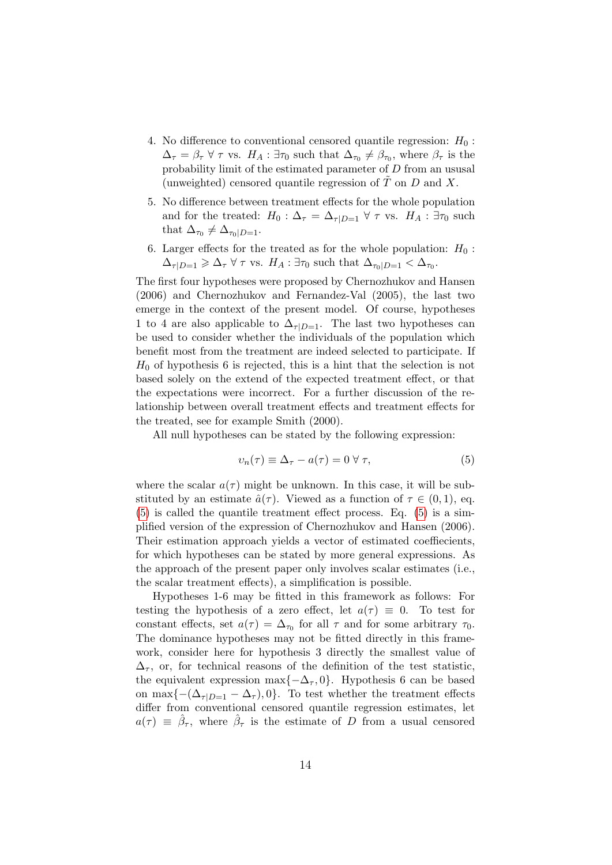- 4. No difference to conventional censored quantile regression:  $H_0$ :  $\Delta_{\tau} = \beta_{\tau} \ \forall \ \tau \ \text{vs.} \ H_A : \exists \tau_0 \ \text{such that} \ \Delta_{\tau_0} \neq \beta_{\tau_0}, \ \text{where} \ \beta_{\tau} \ \text{is the}$ probability limit of the estimated parameter of D from an ususal (unweighted) censored quantile regression of  $\tilde{T}$  on  $D$  and  $X$ .
- 5. No difference between treatment effects for the whole population and for the treated:  $H_0$ :  $\Delta_{\tau} = \Delta_{\tau|D=1} \forall \tau$  vs.  $H_A$ :  $\exists \tau_0$  such that  $\Delta_{\tau_0} \neq \Delta_{\tau_0|D=1}$ .
- 6. Larger effects for the treated as for the whole population:  $H_0$ :  $\Delta_{\tau|D=1} \geq \Delta_{\tau} \,\forall \,\tau$  vs.  $H_A: \exists \tau_0$  such that  $\Delta_{\tau_0|D=1} < \Delta_{\tau_0}$ .

The first four hypotheses were proposed by Chernozhukov and Hansen (2006) and Chernozhukov and Fernandez-Val (2005), the last two emerge in the context of the present model. Of course, hypotheses 1 to 4 are also applicable to  $\Delta_{\tau|D=1}$ . The last two hypotheses can be used to consider whether the individuals of the population which benefit most from the treatment are indeed selected to participate. If  $H_0$  of hypothesis 6 is rejected, this is a hint that the selection is not based solely on the extend of the expected treatment effect, or that the expectations were incorrect. For a further discussion of the relationship between overall treatment effects and treatment effects for the treated, see for example Smith (2000).

All null hypotheses can be stated by the following expression:

<span id="page-13-0"></span>
$$
v_n(\tau) \equiv \Delta_\tau - a(\tau) = 0 \,\forall \,\tau,\tag{5}
$$

where the scalar  $a(\tau)$  might be unknown. In this case, it will be substituted by an estimate  $\hat{a}(\tau)$ . Viewed as a function of  $\tau \in (0,1)$ , eq. [\(5\)](#page-13-0) is called the quantile treatment effect process. Eq. [\(5\)](#page-13-0) is a simplified version of the expression of Chernozhukov and Hansen (2006). Their estimation approach yields a vector of estimated coeffiecients, for which hypotheses can be stated by more general expressions. As the approach of the present paper only involves scalar estimates (i.e., the scalar treatment effects), a simplification is possible.

Hypotheses 1-6 may be fitted in this framework as follows: For testing the hypothesis of a zero effect, let  $a(\tau) \equiv 0$ . To test for constant effects, set  $a(\tau) = \Delta_{\tau_0}$  for all  $\tau$  and for some arbitrary  $\tau_0$ . The dominance hypotheses may not be fitted directly in this framework, consider here for hypothesis 3 directly the smallest value of  $\Delta_{\tau}$ , or, for technical reasons of the definition of the test statistic, the equivalent expression max $\{-\Delta_{\tau}, 0\}$ . Hypothesis 6 can be based on max $\{-(\Delta_{\tau|D=1}-\Delta_{\tau}),0\}$ . To test whether the treatment effects differ from conventional censored quantile regression estimates, let  $a(\tau) \equiv \hat{\beta}_{\tau}$ , where  $\hat{\beta}_{\tau}$  is the estimate of D from a usual censored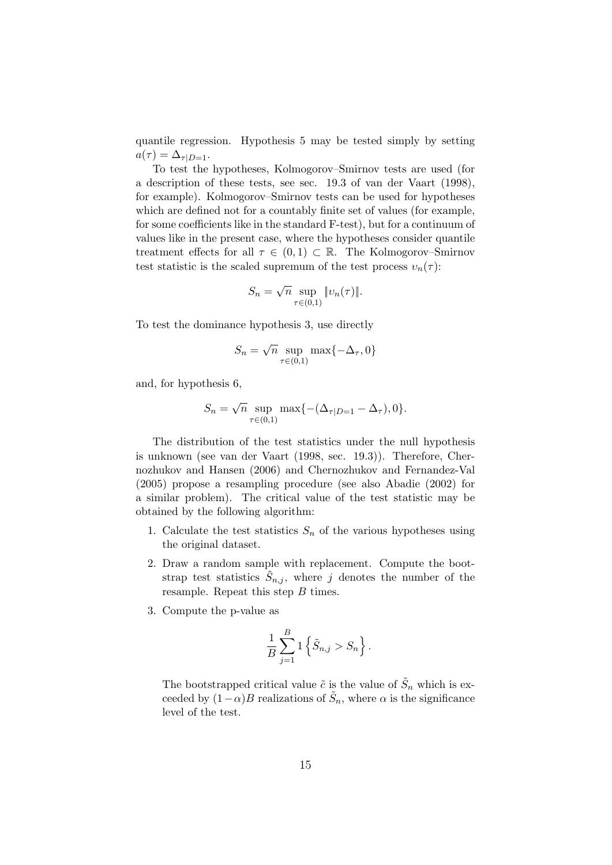quantile regression. Hypothesis 5 may be tested simply by setting  $a(\tau) = \Delta_{\tau|D=1}.$ 

To test the hypotheses, Kolmogorov–Smirnov tests are used (for a description of these tests, see sec. 19.3 of van der Vaart (1998), for example). Kolmogorov–Smirnov tests can be used for hypotheses which are defined not for a countably finite set of values (for example, for some coefficients like in the standard F-test), but for a continuum of values like in the present case, where the hypotheses consider quantile treatment effects for all  $\tau \in (0,1) \subset \mathbb{R}$ . The Kolmogorov–Smirnov test statistic is the scaled supremum of the test process  $v_n(\tau)$ :

$$
S_n = \sqrt{n} \sup_{\tau \in (0,1)} \|v_n(\tau)\|.
$$

To test the dominance hypothesis 3, use directly

$$
S_n = \sqrt{n} \sup_{\tau \in (0,1)} \max\{-\Delta_{\tau}, 0\}
$$

and, for hypothesis 6,

$$
S_n = \sqrt{n} \sup_{\tau \in (0,1)} \max \{ -(\Delta_{\tau|D=1} - \Delta_{\tau}), 0 \}.
$$

The distribution of the test statistics under the null hypothesis is unknown (see van der Vaart (1998, sec. 19.3)). Therefore, Chernozhukov and Hansen (2006) and Chernozhukov and Fernandez-Val (2005) propose a resampling procedure (see also Abadie (2002) for a similar problem). The critical value of the test statistic may be obtained by the following algorithm:

- 1. Calculate the test statistics  $S_n$  of the various hypotheses using the original dataset.
- 2. Draw a random sample with replacement. Compute the bootstrap test statistics  $\tilde{S}_{n,j}$ , where j denotes the number of the resample. Repeat this step  $B$  times.
- 3. Compute the p-value as

$$
\frac{1}{B}\sum_{j=1}^{B}1\left\{\tilde{S}_{n,j} > S_n\right\}.
$$

The bootstrapped critical value  $\tilde{c}$  is the value of  $\tilde{S}_n$  which is exceeded by  $(1-\alpha)B$  realizations of  $\tilde{S}_n$ , where  $\alpha$  is the significance level of the test.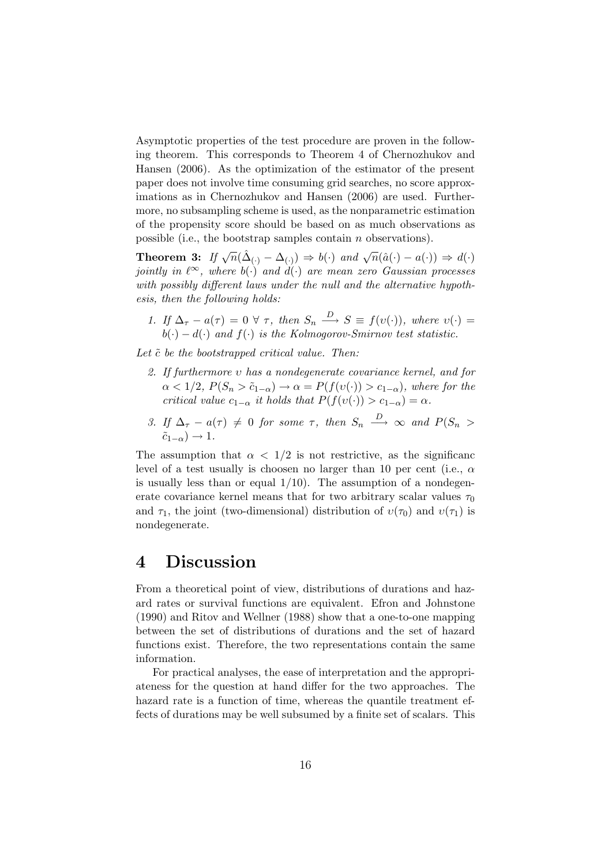Asymptotic properties of the test procedure are proven in the following theorem. This corresponds to Theorem 4 of Chernozhukov and Hansen (2006). As the optimization of the estimator of the present paper does not involve time consuming grid searches, no score approximations as in Chernozhukov and Hansen (2006) are used. Furthermore, no subsampling scheme is used, as the nonparametric estimation of the propensity score should be based on as much observations as possible (i.e., the bootstrap samples contain n observations).

**Theorem 3:** If  $\sqrt{n}(\hat{\Delta}_{(\cdot)} - \Delta_{(\cdot)}) \Rightarrow b(\cdot)$  and  $\sqrt{n}(\hat{a}(\cdot) - a(\cdot)) \Rightarrow d(\cdot)$ jointly in  $\ell^{\infty}$ , where  $b(\cdot)$  and  $d(\cdot)$  are mean zero Gaussian processes with possibly different laws under the null and the alternative hypothesis, then the following holds:

1. If  $\Delta_{\tau} - a(\tau) = 0 \ \forall \ \tau$ , then  $S_n \stackrel{D}{\longrightarrow} S \equiv f(v(\cdot))$ , where  $v(\cdot) =$  $b(\cdot) - d(\cdot)$  and  $f(\cdot)$  is the Kolmogorov-Smirnov test statistic.

Let  $\tilde{c}$  be the bootstrapped critical value. Then:

- 2. If furthermore υ has a nondegenerate covariance kernel, and for  $\alpha < 1/2$ ,  $P(S_n > \tilde{c}_{1-\alpha}) \to \alpha = P(f(v(\cdot)) > c_{1-\alpha})$ , where for the critical value  $c_{1-\alpha}$  it holds that  $P(f(v(\cdot)) > c_{1-\alpha}) = \alpha$ .
- 3. If  $\Delta_{\tau} a(\tau) \neq 0$  for some  $\tau$ , then  $S_n \stackrel{D}{\longrightarrow} \infty$  and  $P(S_n >$  $\tilde{c}_{1-\alpha}$ ) → 1.

The assumption that  $\alpha < 1/2$  is not restrictive, as the significance level of a test usually is choosen no larger than 10 per cent (i.e.,  $\alpha$ is usually less than or equal  $1/10$ ). The assumption of a nondegenerate covariance kernel means that for two arbitrary scalar values  $\tau_0$ and  $\tau_1$ , the joint (two-dimensional) distribution of  $v(\tau_0)$  and  $v(\tau_1)$  is nondegenerate.

## <span id="page-15-0"></span>4 Discussion

From a theoretical point of view, distributions of durations and hazard rates or survival functions are equivalent. Efron and Johnstone (1990) and Ritov and Wellner (1988) show that a one-to-one mapping between the set of distributions of durations and the set of hazard functions exist. Therefore, the two representations contain the same information.

For practical analyses, the ease of interpretation and the appropriateness for the question at hand differ for the two approaches. The hazard rate is a function of time, whereas the quantile treatment effects of durations may be well subsumed by a finite set of scalars. This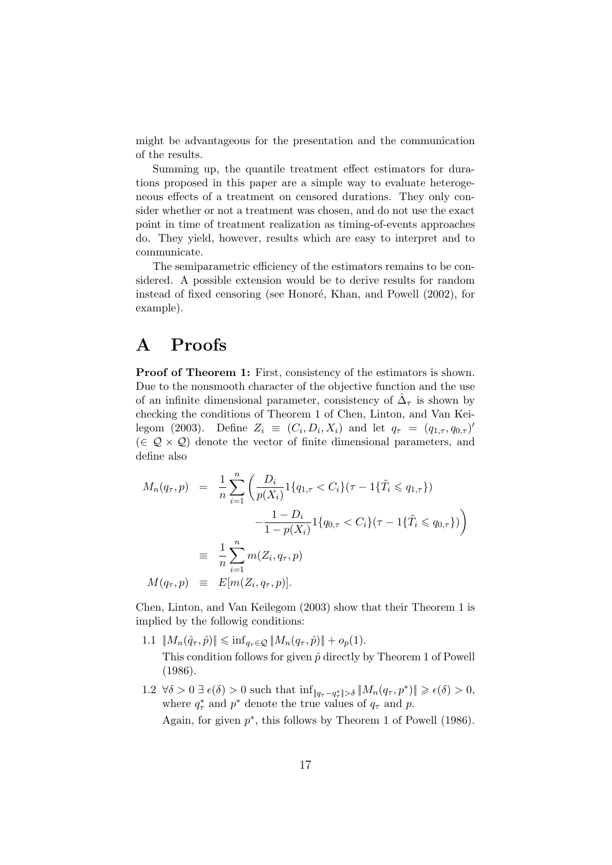might be advantageous for the presentation and the communication of the results.

Summing up, the quantile treatment effect estimators for durations proposed in this paper are a simple way to evaluate heterogeneous effects of a treatment on censored durations. They only consider whether or not a treatment was chosen, and do not use the exact point in time of treatment realization as timing-of-events approaches do. They yield, however, results which are easy to interpret and to communicate.

The semiparametric efficiency of the estimators remains to be considered. A possible extension would be to derive results for random instead of fixed censoring (see Honoré, Khan, and Powell (2002), for example).

## A Proofs

Proof of Theorem 1: First, consistency of the estimators is shown. Due to the nonsmooth character of the objective function and the use of an infinite dimensional parameter, consistency of  $\hat{\Delta}_{\tau}$  is shown by checking the conditions of Theorem 1 of Chen, Linton, and Van Keilegom (2003). Define  $Z_i \equiv (C_i, D_i, X_i)$  and let  $q_\tau = (q_{1,\tau}, q_{0,\tau})'$  $(\in \mathcal{Q} \times \mathcal{Q})$  denote the vector of finite dimensional parameters, and define also

$$
M_n(q_\tau, p) = \frac{1}{n} \sum_{i=1}^n \left( \frac{D_i}{p(X_i)} 1\{q_{1,\tau} < C_i\} (\tau - 1\{\tilde{T}_i \leq q_{1,\tau}\}) - \frac{1 - D_i}{1 - p(X_i)} 1\{q_{0,\tau} < C_i\} (\tau - 1\{\tilde{T}_i \leq q_{0,\tau}\}) \right)
$$
\n
$$
\equiv \frac{1}{n} \sum_{i=1}^n m(Z_i, q_\tau, p)
$$
\n
$$
M(q_\tau, p) \equiv E[m(Z_i, q_\tau, p)].
$$

Chen, Linton, and Van Keilegom (2003) show that their Theorem 1 is implied by the followig conditions:

- 1.1  $\|M_n(\hat{q}_\tau, \hat{p})\| \leq \inf_{q_\tau \in \mathcal{Q}} \|M_n(q_\tau, \hat{p})\| + o_p(1).$ This condition follows for given  $\hat{p}$  directly by Theorem 1 of Powell (1986).
- 1.2  $\forall \delta > 0 \ \exists \ \epsilon(\delta) > 0$  such that  $\inf_{\Vert q_{\tau} q_{\tau}^* \Vert > \delta} \Vert M_n(q_{\tau}, p^*) \Vert \geqslant \epsilon(\delta) > 0$ , where  $q^*_{\tau}$  and  $p^*$  denote the true values of  $q_{\tau}$  and p.

Again, for given  $p^*$ , this follows by Theorem 1 of Powell (1986).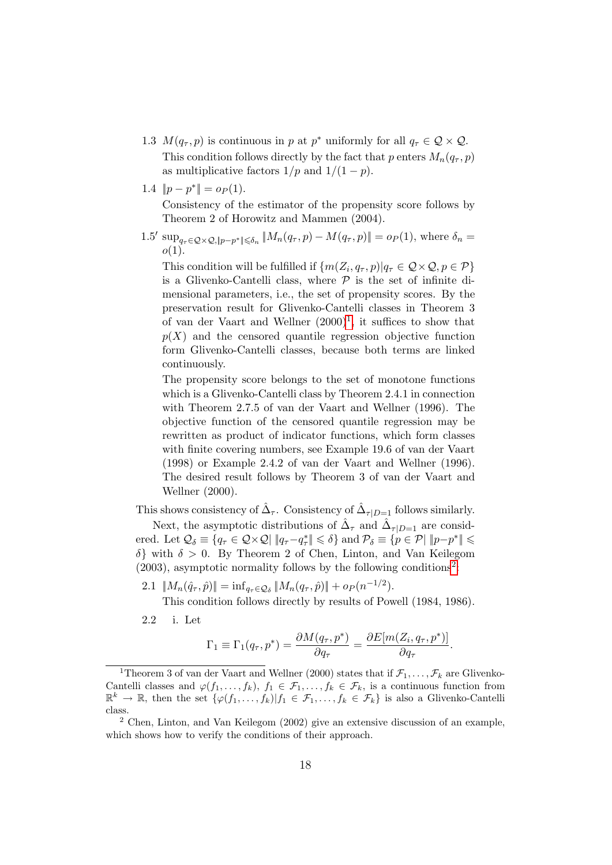- 1.3  $M(q_\tau, p)$  is continuous in p at p<sup>\*</sup> uniformly for all  $q_\tau \in \mathcal{Q} \times \mathcal{Q}$ . This condition follows directly by the fact that p enters  $M_n(q_\tau, p)$ as multiplicative factors  $1/p$  and  $1/(1-p)$ .
- 1.4  $||p p^*|| = o_P(1)$ .

Consistency of the estimator of the propensity score follows by Theorem 2 of Horowitz and Mammen (2004).

1.5' sup<sub>qτ</sub> ∈ *Q* × *Q*, |*p*−*p*<sup>\*</sup> | ≤δ<sub>n</sub></sub> ||M<sub>n</sub>(*q*<sub>τ</sub>, *p*) − M(*q*<sub>τ</sub>, *p*)|| = *o*<sub>*P*</sub>(1), where δ<sub>n</sub> =  $o(1)$ .

This condition will be fulfilled if  $\{m(Z_i, q_\tau, p)|q_\tau \in \mathcal{Q} \times \mathcal{Q}, p \in \mathcal{P}\}\$ is a Glivenko-Cantelli class, where  $P$  is the set of infinite dimensional parameters, i.e., the set of propensity scores. By the preservation result for Glivenko-Cantelli classes in Theorem 3 of van der Vaart and Wellner  $(2000)^1$  $(2000)^1$ , it suffices to show that  $p(X)$  and the censored quantile regression objective function form Glivenko-Cantelli classes, because both terms are linked continuously.

The propensity score belongs to the set of monotone functions which is a Glivenko-Cantelli class by Theorem 2.4.1 in connection with Theorem 2.7.5 of van der Vaart and Wellner (1996). The objective function of the censored quantile regression may be rewritten as product of indicator functions, which form classes with finite covering numbers, see Example 19.6 of van der Vaart (1998) or Example 2.4.2 of van der Vaart and Wellner (1996). The desired result follows by Theorem 3 of van der Vaart and Wellner (2000).

This shows consistency of  $\hat{\Delta}_{\tau}$ . Consistency of  $\hat{\Delta}_{\tau|D=1}$  follows similarly. Next, the asymptotic distributions of  $\hat{\Delta}_{\tau}$  and  $\hat{\Delta}_{\tau|D=1}$  are considered. Let  $\mathcal{Q}_{\delta} \equiv \{q_{\tau} \in \mathcal{Q} \times \mathcal{Q} | \ \|q_{\tau} - q_{\tau}^*\| \leqslant \delta\}$  and  $\mathcal{P}_{\delta} \equiv \{p \in \mathcal{P} | \ \|p - p^*\| \leqslant \delta\}$  $\delta$ } with  $\delta > 0$ . By Theorem 2 of Chen, Linton, and Van Keilegom  $(2003)$  $(2003)$  $(2003)$ , asymptotic normality follows by the following conditions<sup>2</sup>:

2.1  $||M_n(\hat{q}_\tau, \hat{p})|| = \inf_{q_\tau \in \mathcal{Q}_\delta} ||M_n(q_\tau, \hat{p})|| + op(n^{-1/2}).$ 

This condition follows directly by results of Powell (1984, 1986).

2.2 i. Let

$$
\Gamma_1 \equiv \Gamma_1(q_\tau, p^*) = \frac{\partial M(q_\tau, p^*)}{\partial q_\tau} = \frac{\partial E[m(Z_i, q_\tau, p^*)]}{\partial q_\tau}.
$$

<span id="page-17-0"></span><sup>&</sup>lt;sup>1</sup>Theorem 3 of van der Vaart and Wellner (2000) states that if  $\mathcal{F}_1, \ldots, \mathcal{F}_k$  are Glivenko-Cantelli classes and  $\varphi(f_1,\ldots,f_k), f_1 \in \mathcal{F}_1,\ldots,f_k \in \mathcal{F}_k$ , is a continuous function from  $\mathbb{R}^k \to \mathbb{R}$ , then the set  $\{\varphi(f_1,\ldots,f_k)|f_1 \in \mathcal{F}_1,\ldots,f_k \in \mathcal{F}_k\}$  is also a Glivenko-Cantelli class.

<span id="page-17-1"></span><sup>2</sup> Chen, Linton, and Van Keilegom (2002) give an extensive discussion of an example, which shows how to verify the conditions of their approach.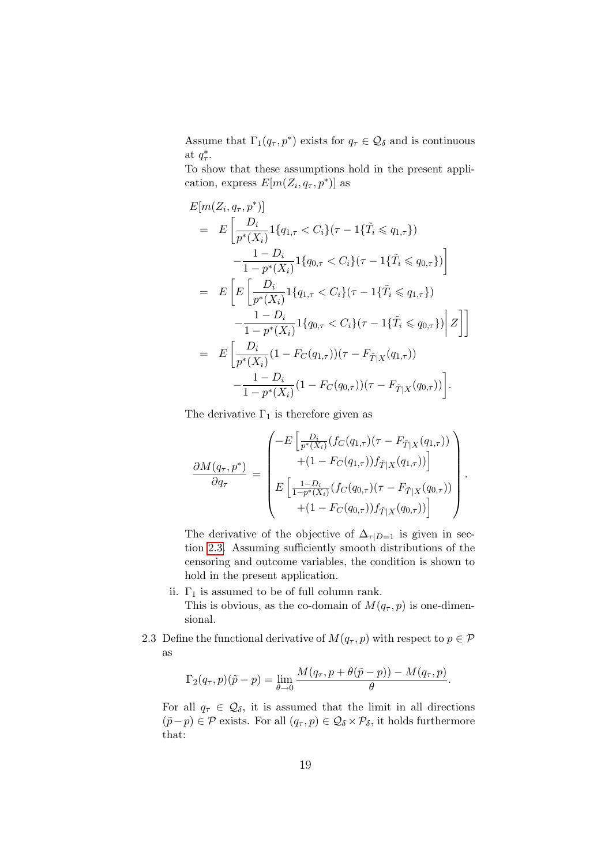Assume that  $\Gamma_1(q_\tau, p^*)$  exists for  $q_\tau \in \mathcal{Q}_\delta$  and is continuous at  $q^*_{\tau}$ .

To show that these assumptions hold in the present application, express  $E[m(Z_i, q_\tau, p^*)]$  as

$$
E[m(Z_i, q_\tau, p^*)]
$$
  
= 
$$
E\left[\frac{D_i}{p^*(X_i)} 1\{q_{1,\tau} < C_i\}(\tau - 1\{\tilde{T}_i \leq q_{1,\tau}\}) - \frac{1 - D_i}{1 - p^*(X_i)} 1\{q_{0,\tau} < C_i\}(\tau - 1\{\tilde{T}_i \leq q_{0,\tau}\})\right]
$$
  
= 
$$
E\left[E\left[\frac{D_i}{p^*(X_i)} 1\{q_{1,\tau} < C_i\}(\tau - 1\{\tilde{T}_i \leq q_{1,\tau}\}) - \frac{1 - D_i}{1 - p^*(X_i)} 1\{q_{0,\tau} < C_i\}(\tau - 1\{\tilde{T}_i \leq q_{0,\tau}\})\right| Z\right]
$$
  
= 
$$
E\left[\frac{D_i}{p^*(X_i)} (1 - F_C(q_{1,\tau}))(\tau - F_{\tilde{T}|X}(q_{1,\tau})) - \frac{1 - D_i}{1 - p^*(X_i)} (1 - F_C(q_{0,\tau}))(\tau - F_{\tilde{T}|X}(q_{0,\tau}))\right].
$$

The derivative  $\Gamma_1$  is therefore given as

$$
\frac{\partial M(q_{\tau}, p^*)}{\partial q_{\tau}} = \begin{pmatrix} -E\left[\frac{D_i}{p^*(X_i)}(f_C(q_{1,\tau})(\tau - F_{\tilde{T}|X}(q_{1,\tau}))\right) \\ + (1 - F_C(q_{1,\tau}))f_{\tilde{T}|X}(q_{1,\tau})) \end{pmatrix} \\ E\left[\frac{1 - D_i}{1 - p^*(X_i)}(f_C(q_{0,\tau})(\tau - F_{\tilde{T}|X}(q_{0,\tau}))\right) \\ + (1 - F_C(q_{0,\tau}))f_{\tilde{T}|X}(q_{0,\tau})) \end{pmatrix}.
$$

The derivative of the objective of  $\Delta_{\tau|D=1}$  is given in section [2.3.](#page-8-0) Assuming sufficiently smooth distributions of the censoring and outcome variables, the condition is shown to hold in the present application.

- ii.  $\Gamma_1$  is assumed to be of full column rank. This is obvious, as the co-domain of  $M(q_\tau, p)$  is one-dimensional.
- 2.3 Define the functional derivative of  $M(q_\tau, p)$  with respect to  $p \in \mathcal{P}$ as

$$
\Gamma_2(q_\tau, p)(\tilde{p} - p) = \lim_{\theta \to 0} \frac{M(q_\tau, p + \theta(\tilde{p} - p)) - M(q_\tau, p)}{\theta}.
$$

For all  $q_{\tau} \in \mathcal{Q}_{\delta}$ , it is assumed that the limit in all directions  $(\tilde{p}-p) \in \mathcal{P}$  exists. For all  $(q_{\tau}, p) \in \mathcal{Q}_{\delta} \times \mathcal{P}_{\delta}$ , it holds furthermore that: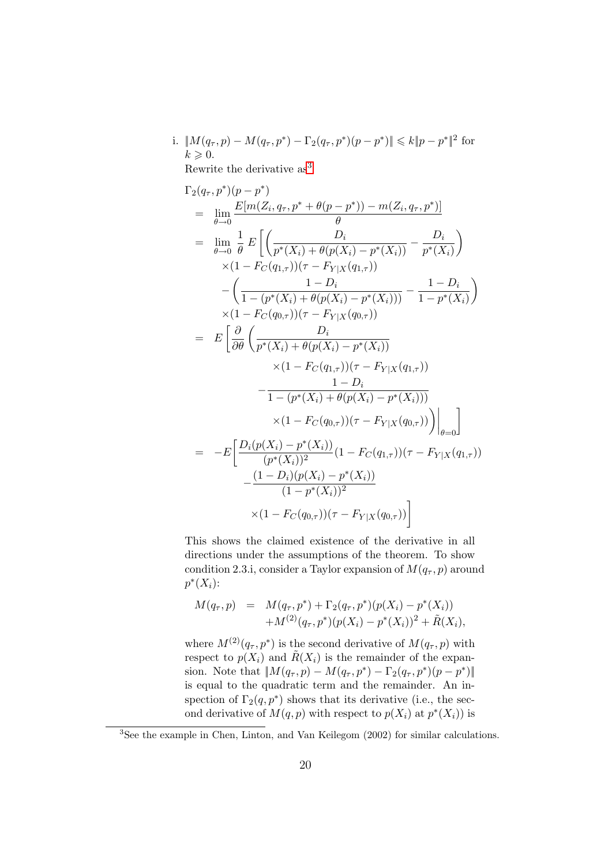i. 
$$
||M(q_{\tau}, p) - M(q_{\tau}, p^*) - \Gamma_2(q_{\tau}, p^*)(p - p^*)|| \le k||p - p^*||^2
$$
 for   
  $k \ge 0$ .

Rewrite the derivative as<sup>[3](#page-19-0)</sup>

$$
\Gamma_{2}(q_{\tau},p^{*})(p-p^{*})
$$
\n
$$
= \lim_{\theta \to 0} \frac{E[m(Z_{i},q_{\tau},p^{*} + \theta(p-p^{*})) - m(Z_{i},q_{\tau},p^{*})]}{\theta}
$$
\n
$$
= \lim_{\theta \to 0} \frac{1}{\theta} E\left[\left(\frac{D_{i}}{p^{*}(X_{i}) + \theta(p(X_{i}) - p^{*}(X_{i}))} - \frac{D_{i}}{p^{*}(X_{i})}\right) \times (1 - F_{C}(q_{1,\tau})) (\tau - F_{Y|X}(q_{1,\tau})) - \left(\frac{1 - D_{i}}{1 - (p^{*}(X_{i}) + \theta(p(X_{i}) - p^{*}(X_{i})))} - \frac{1 - D_{i}}{1 - p^{*}(X_{i})}\right) \times (1 - F_{C}(q_{0,\tau})) (\tau - F_{Y|X}(q_{0,\tau}))
$$
\n
$$
= E\left[\frac{\partial}{\partial \theta}\left(\frac{D_{i}}{p^{*}(X_{i}) + \theta(p(X_{i}) - p^{*}(X_{i}))} - \frac{1 - D_{i}}{1 - (p^{*}(X_{i}) + \theta(p(X_{i}) - p^{*}(X_{i})))}\right) - \frac{1 - D_{i}}{1 - (p^{*}(X_{i}) + \theta(p(X_{i}) - p^{*}(X_{i})))} \times (1 - F_{C}(q_{0,\tau})) (\tau - F_{Y|X}(q_{0,\tau}))\right]_{\theta = 0}
$$
\n
$$
= -E\left[\frac{D_{i}(p(X_{i}) - p^{*}(X_{i}))}{(p^{*}(X_{i}))^{2}}(1 - F_{C}(q_{1,\tau})) (\tau - F_{Y|X}(q_{1,\tau})) - \frac{(1 - D_{i})(p(X_{i}) - p^{*}(X_{i}))}{(1 - p^{*}(X_{i}))^{2}}\right] - \frac{(1 - D_{i})(p(X_{i}) - p^{*}(X_{i}))}{(1 - F_{C}(q_{0,\tau})) (\tau - F_{Y|X}(q_{0,\tau}))}\right]
$$

This shows the claimed existence of the derivative in all directions under the assumptions of the theorem. To show condition 2.3.i, consider a Taylor expansion of  $M(q_\tau, p)$  around  $p^*(X_i)$ :

$$
M(q_{\tau}, p) = M(q_{\tau}, p^*) + \Gamma_2(q_{\tau}, p^*)(p(X_i) - p^*(X_i))
$$
  
+
$$
M^{(2)}(q_{\tau}, p^*)(p(X_i) - p^*(X_i))^2 + \tilde{R}(X_i),
$$

where  $M^{(2)}(q_{\tau}, p^*)$  is the second derivative of  $M(q_{\tau}, p)$  with respect to  $p(X_i)$  and  $\tilde{R}(X_i)$  is the remainder of the expansion. Note that  $||M(q_{\tau}, p) - M(q_{\tau}, p^*) - \Gamma_2(q_{\tau}, p^*) (p - p^*)||$ is equal to the quadratic term and the remainder. An inspection of  $\Gamma_2(q,p^*)$  shows that its derivative (i.e., the second derivative of  $M(q, p)$  with respect to  $p(X_i)$  at  $p^*(X_i)$  is

<span id="page-19-0"></span><sup>3</sup>See the example in Chen, Linton, and Van Keilegom (2002) for similar calculations.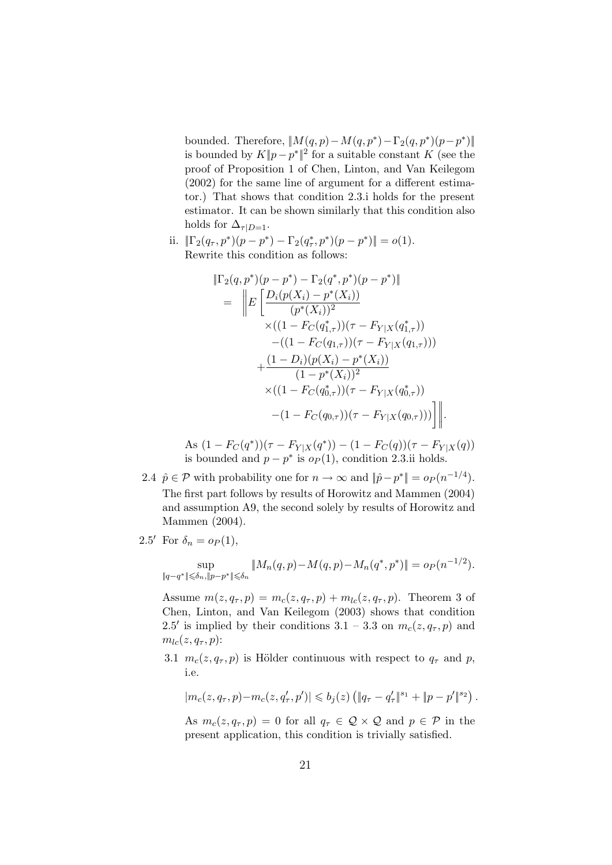bounded. Therefore,  $||M(q,p) - M(q,p^*) - \Gamma_2(q,p^*)(p-p^*)||$ is bounded by  $K||p-p^*||^2$  for a suitable constant K (see the proof of Proposition 1 of Chen, Linton, and Van Keilegom (2002) for the same line of argument for a different estimator.) That shows that condition 2.3.i holds for the present estimator. It can be shown similarly that this condition also holds for  $\Delta_{\tau|D=1}$ .

ii.  $\|\Gamma_2(q_\tau, p^*)(p - p^*) - \Gamma_2(q_\tau^*, p^*)(p - p^*)\| = o(1)$ . Rewrite this condition as follows:

$$
\begin{split} \|\Gamma_2(q, p^*)(p - p^*) - \Gamma_2(q^*, p^*)(p - p^*)\| \\ &= \left\| E\left[\frac{D_i(p(X_i) - p^*(X_i))}{(p^*(X_i))^2} \times ((1 - F_C(q_{1,\tau}^*)) (\tau - F_{Y|X}(q_{1,\tau}^*)) \right. \\ &\quad \left. - ((1 - F_C(q_{1,\tau})) (\tau - F_{Y|X}(q_{1,\tau}))) \right. \\ &\quad \left. + \frac{(1 - D_i)(p(X_i) - p^*(X_i))}{(1 - p^*(X_i))^2} \right. \\ &\quad \left. \times ((1 - F_C(q_{0,\tau}^*)) (\tau - F_{Y|X}(q_{0,\tau}^*)) \right) \right\| \\ &\quad \left. - (1 - F_C(q_{0,\tau})) (\tau - F_{Y|X}(q_{0,\tau}))) \right] \right\|. \end{split}
$$

As  $(1 - F_C(q^*))(\tau - F_{Y|X}(q^*)) - (1 - F_C(q))(\tau - F_{Y|X}(q))$ is bounded and  $p - p^*$  is  $o_P(1)$ , condition 2.3.ii holds.

2.4  $\hat{p} \in \mathcal{P}$  with probability one for  $n \to \infty$  and  $\|\hat{p} - p^*\| = o_P(n^{-1/4})$ . The first part follows by results of Horowitz and Mammen (2004) and assumption A9, the second solely by results of Horowitz and Mammen (2004).

2.5' For 
$$
\delta_n = o_P(1)
$$
,

$$
\sup_{\|q-q^*\| \leq \delta_n, \|p-p^*\| \leq \delta_n} \|M_n(q,p) - M(q,p) - M_n(q^*,p^*)\| = o_P(n^{-1/2}).
$$

Assume  $m(z, q_\tau, p) = m_c(z, q_\tau, p) + m_{lc}(z, q_\tau, p)$ . Theorem 3 of Chen, Linton, and Van Keilegom (2003) shows that condition 2.5' is implied by their conditions 3.1 – 3.3 on  $m_c(z, q_\tau, p)$  and  $m_{lc}(z, q_\tau, p)$ :

3.1  $m_c(z, q_\tau, p)$  is Hölder continuous with respect to  $q_\tau$  and p, i.e.

$$
\left|m_c(z,q_\tau,p)-m_c(z,q'_\tau,p')\right|\leqslant b_j(z)\left(\|q_\tau-q'_\tau\|^{s_1}+\|p-p'\|^{s_2}\right).
$$

As  $m_c(z, q_\tau, p) = 0$  for all  $q_\tau \in \mathcal{Q} \times \mathcal{Q}$  and  $p \in \mathcal{P}$  in the present application, this condition is trivially satisfied.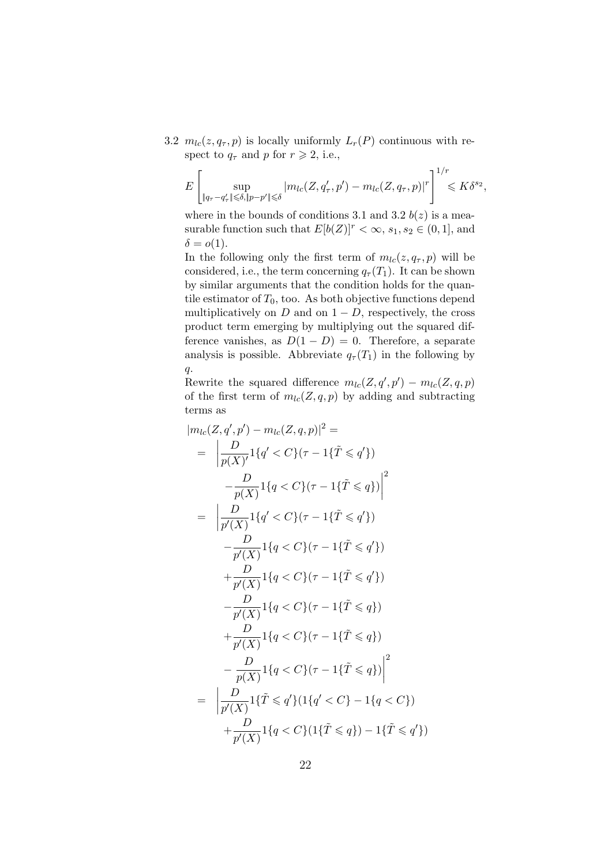3.2  $m_{lc}(z, q_\tau, p)$  is locally uniformly  $L_r(P)$  continuous with respect to  $q_{\tau}$  and p for  $r \geq 2$ , i.e.,

$$
E\left[\sup_{\|q_{\tau}-q_{\tau}^{\prime}\|\leqslant \delta, \|p-p^{\prime}\|\leqslant \delta} |m_{lc}(Z, q_{\tau}^{\prime}, p^{\prime}) - m_{lc}(Z, q_{\tau}, p)|^{r}\right]^{1/r} \leqslant K\delta^{s_{2}},
$$

where in the bounds of conditions 3.1 and 3.2  $b(z)$  is a measurable function such that  $E[b(Z)]^r < \infty$ ,  $s_1, s_2 \in (0, 1]$ , and  $\delta = o(1).$ 

In the following only the first term of  $m_{lc}(z, q_{\tau}, p)$  will be considered, i.e., the term concerning  $q_{\tau}(T_1)$ . It can be shown by similar arguments that the condition holds for the quantile estimator of  $T_0$ , too. As both objective functions depend multiplicatively on  $D$  and on  $1 - D$ , respectively, the cross product term emerging by multiplying out the squared difference vanishes, as  $D(1-D) = 0$ . Therefore, a separate analysis is possible. Abbreviate  $q_{\tau}(T_1)$  in the following by  $q$ .

Rewrite the squared difference  $m_{lc}(Z, q', p') - m_{lc}(Z, q, p)$ of the first term of  $m_{lc}(Z, q, p)$  by adding and subtracting terms as

$$
|m_{lc}(Z, q', p') - m_{lc}(Z, q, p)|^2 =
$$
  
\n
$$
= \left| \frac{D}{p(X)} \mathbf{1}\{q' < C\}(\tau - 1\{\tilde{T} \leq q'\}) \right|
$$
  
\n
$$
- \frac{D}{p(X)} \mathbf{1}\{q < C\}(\tau - 1\{\tilde{T} \leq q\}) \Big|^2
$$
  
\n
$$
= \left| \frac{D}{p'(X)} \mathbf{1}\{q' < C\}(\tau - 1\{\tilde{T} \leq q'\}) \right|
$$
  
\n
$$
- \frac{D}{p'(X)} \mathbf{1}\{q < C\}(\tau - 1\{\tilde{T} \leq q'\})
$$
  
\n
$$
+ \frac{D}{p'(X)} \mathbf{1}\{q < C\}(\tau - 1\{\tilde{T} \leq q'\})
$$
  
\n
$$
- \frac{D}{p'(X)} \mathbf{1}\{q < C\}(\tau - 1\{\tilde{T} \leq q\})
$$
  
\n
$$
+ \frac{D}{p'(X)} \mathbf{1}\{q < C\}(\tau - 1\{\tilde{T} \leq q\})
$$
  
\n
$$
- \frac{D}{p(X)} \mathbf{1}\{q < C\}(\tau - 1\{\tilde{T} \leq q\}) \Big|^2
$$
  
\n
$$
= \left| \frac{D}{p'(X)} \mathbf{1}\{\tilde{T} \leq q'\} (\mathbf{1}\{q' < C\} - 1\{q < C\}) + \frac{D}{p'(X)} \mathbf{1}\{q < C\} (\mathbf{1}\{\tilde{T} \leq q\}) - 1\{\tilde{T} \leq q'\}) \right|
$$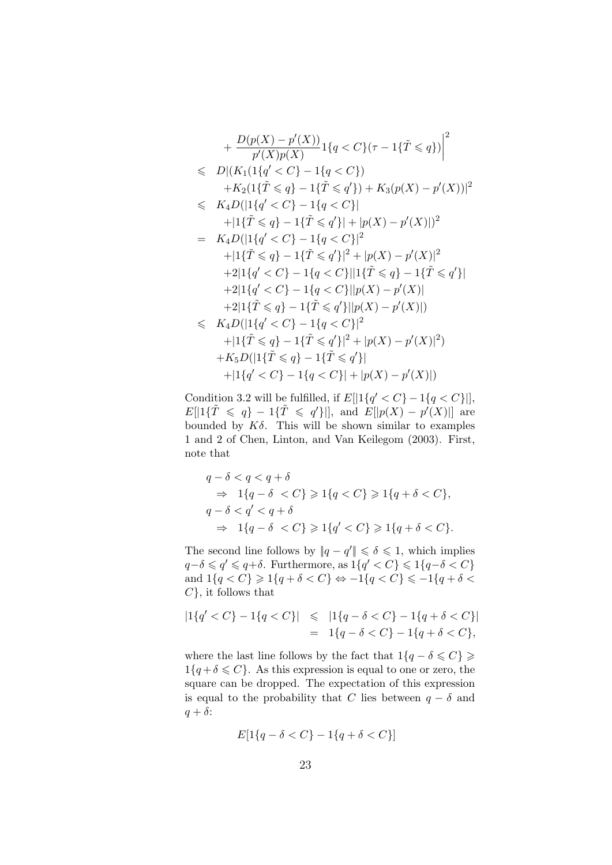$$
+\frac{D(p(X) - p'(X))}{p'(X)p(X)} 1\{q < C\}(\tau - 1\{\tilde{T} \leq q\})\Big|^2
$$
  
\n
$$
\leq D|(K_1(1\{q' < C\} - 1\{q < C\}) + K_2(1\{\tilde{T} \leq q\} - 1\{\tilde{T} \leq q'\}) + K_3(p(X) - p'(X))|^2
$$
  
\n
$$
\leq K_4D(|1\{q' < C\} - 1\{q < C\}| + |1\{\tilde{T} \leq q\} - 1\{\tilde{T} \leq q'\}| + |p(X) - p'(X)|)^2
$$
  
\n
$$
= K_4D(|1\{q' < C\} - 1\{q < C\}|^2 + |p(X) - p'(X)|^2
$$
  
\n
$$
+ |1\{\tilde{T} \leq q\} - 1\{\tilde{T} \leq q'\}|^2 + |p(X) - p'(X)|^2
$$
  
\n
$$
+ 2|1\{q' < C\} - 1\{q < C\}||1\{\tilde{T} \leq q\} - 1\{\tilde{T} \leq q'\}|
$$
  
\n
$$
+ 2|1\{q' < C\} - 1\{q < C\}||p(X) - p'(X)|
$$
  
\n
$$
+ 2|1\{\tilde{T} \leq q\} - 1\{\tilde{T} \leq q'\}||p(X) - p'(X)|
$$
  
\n
$$
+ 2|1\{\tilde{T} \leq q\} - 1\{\tilde{T} \leq q'\}||p(X) - p'(X)|)
$$
  
\n
$$
\leq K_4D(|1\{q' < C\} - 1\{q < C\}|^2 + |p(X) - p'(X)|^2)
$$
  
\n
$$
+ |1\{\tilde{T} \leq q\} - 1\{\tilde{T} \leq q'\}|^2 + |p(X) - p'(X)|^2
$$
  
\n
$$
+ K_5D(|1\{\tilde{T} \leq q\} - 1\{\tilde{T} \leq q'\}| + |p(X) - p'(X)|)
$$

Condition 3.2 will be fulfilled, if  $E[|1\{q' < C\} - 1\{q < C\}|]$ ,  $E[1\{\tilde{T}\leqslant q\}-1\{\tilde{T}\leqslant q'\}]$ , and  $E[|p(X)-p'(X)|]$  are bounded by  $K\delta$ . This will be shown similar to examples 1 and 2 of Chen, Linton, and Van Keilegom (2003). First, note that

$$
q - \delta < q < q + \delta
$$
\n
$$
\Rightarrow 1\{q - \delta < C\} \geqslant 1\{q < C\} \geqslant 1\{q + \delta < C\},
$$
\n
$$
q - \delta < q' < q + \delta
$$
\n
$$
\Rightarrow 1\{q - \delta < C\} \geqslant 1\{q' < C\} \geqslant 1\{q + \delta < C\}.
$$

The second line follows by  $||q - q'|| \leq \delta \leq 1$ , which implies  $q-\delta \leqslant q' \leqslant q+\delta$ . Furthermore, as  $1\{q' < C\} \leqslant 1\{q-\delta < C\}$ and  $1\{q < C\} \geqslant 1\{q + \delta < C\} \Leftrightarrow -1\{q < C\} \leqslant -1\{q + \delta <$  $C$ , it follows that

$$
|1\{q' < C\} - 1\{q < C\}| \le |1\{q - \delta < C\} - 1\{q + \delta < C\}|
$$
\n
$$
= 1\{q - \delta < C\} - 1\{q + \delta < C\},
$$

where the last line follows by the fact that  $1\{q - \delta \leq C\} \geq$  $1\{q + \delta \leq C\}$ . As this expression is equal to one or zero, the square can be dropped. The expectation of this expression is equal to the probability that C lies between  $q - \delta$  and  $q + \delta$ :

$$
E[1\{q - \delta < C\} - 1\{q + \delta < C\}]
$$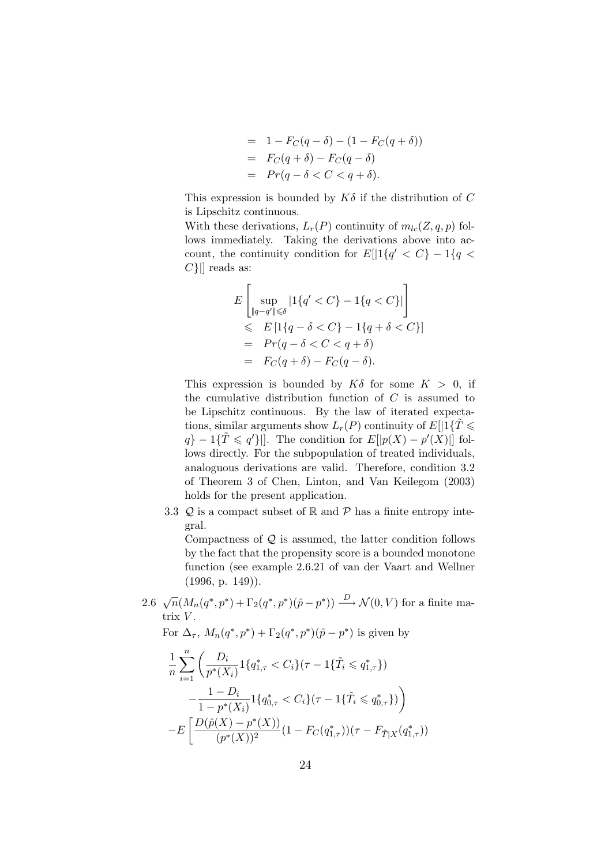$$
= 1 - F_C(q - \delta) - (1 - F_C(q + \delta))
$$
  

$$
= F_C(q + \delta) - F_C(q - \delta)
$$
  

$$
= Pr(q - \delta < C < q + \delta).
$$

This expression is bounded by  $K\delta$  if the distribution of C is Lipschitz continuous.

With these derivations,  $L_r(P)$  continuity of  $m_{lc}(Z, q, p)$  follows immediately. Taking the derivations above into account, the continuity condition for  $E[|1\{q' < C\} - 1\{q \leq$  $C\{\parallel}$  reads as:

$$
E\left[\sup_{\|q-q'\| \leq \delta} |1\{q' < C\} - 1\{q < C\}| \right] \\
\leq E\left[1\{q - \delta < C\} - 1\{q + \delta < C\}\right] \\
= Pr(q - \delta < C < q + \delta) \\
= F_C(q + \delta) - F_C(q - \delta).
$$

This expression is bounded by  $K\delta$  for some  $K > 0$ , if the cumulative distribution function of  $C$  is assumed to be Lipschitz continuous. By the law of iterated expectations, similar arguments show  $L_r(P)$  continuity of  $E[1]\{T\leq$  $q$ } – 1{ $\tilde{T} \leqslant q'$ }||. The condition for  $E[|p(X) - p'(X)|]$  follows directly. For the subpopulation of treated individuals, analoguous derivations are valid. Therefore, condition 3.2 of Theorem 3 of Chen, Linton, and Van Keilegom (2003) holds for the present application.

3.3  $Q$  is a compact subset of  $\mathbb R$  and  $\mathcal P$  has a finite entropy integral.

Compactness of  $Q$  is assumed, the latter condition follows by the fact that the propensity score is a bounded monotone function (see example 2.6.21 of van der Vaart and Wellner  $(1996, p. 149)$ .

2.6  $\sqrt{n}(M_n(q^*, p^*) + \Gamma_2(q^*, p^*)(\hat{p} - p^*)) \xrightarrow{D} \mathcal{N}(0, V)$  for a finite matrix  $V$ .

For  $\Delta_{\tau}$ ,  $M_n(q^*, p^*) + \Gamma_2(q^*, p^*)(\hat{p} - p^*)$  is given by

$$
\frac{1}{n} \sum_{i=1}^{n} \left( \frac{D_i}{p^*(X_i)} \mathbf{1} \{ q_{1,\tau}^* < C_i \} (\tau - 1\{\tilde{T}_i \leqslant q_{1,\tau}^*\}) - \frac{1 - D_i}{1 - p^*(X_i)} \mathbf{1} \{ q_{0,\tau}^* < C_i \} (\tau - 1\{\tilde{T}_i \leqslant q_{0,\tau}^*\}) \right) - E \left[ \frac{D(\hat{p}(X) - p^*(X))}{(p^*(X))^2} (1 - F_C(q_{1,\tau}^*)) (\tau - F_{\tilde{T}|X}(q_{1,\tau}^*)) \right]
$$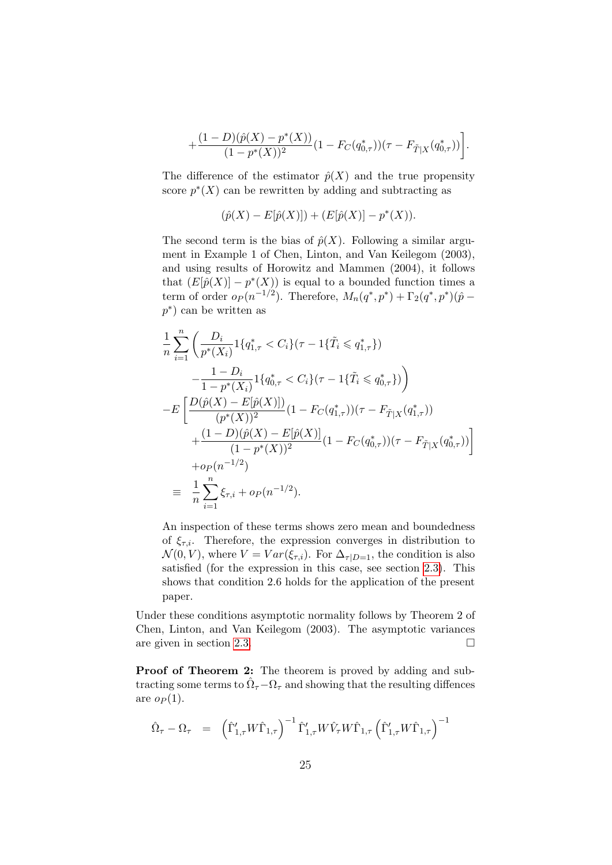$$
+\frac{(1-D)(\hat{p}(X)-p^{*}(X))}{(1-p^{*}(X))^{2}}(1-F_{C}(q^{*}_{0,\tau}))(\tau-F_{\tilde{T}|X}(q^{*}_{0,\tau}))\bigg].
$$

The difference of the estimator  $\hat{p}(X)$  and the true propensity score  $p^*(X)$  can be rewritten by adding and subtracting as

$$
(\hat{p}(X) - E[\hat{p}(X)]) + (E[\hat{p}(X)] - p^*(X)).
$$

The second term is the bias of  $\hat{p}(X)$ . Following a similar argument in Example 1 of Chen, Linton, and Van Keilegom (2003), and using results of Horowitz and Mammen (2004), it follows that  $(E[\hat{p}(X)] - p^*(X))$  is equal to a bounded function times a term of order  $o_P(n^{-1/2})$ . Therefore,  $M_n(q^*,p^*) + \Gamma_2(q^*,p^*)(\hat{p}$ p ∗ ) can be written as

$$
\frac{1}{n} \sum_{i=1}^{n} \left( \frac{D_i}{p^*(X_i)} \mathbf{1} \{ q_{1,\tau}^* < C_i \} (\tau - 1\{\tilde{T}_i \leqslant q_{1,\tau}^*\}) \right. \\
\left. - \frac{1 - D_i}{1 - p^*(X_i)} \mathbf{1} \{ q_{0,\tau}^* < C_i \} (\tau - 1\{\tilde{T}_i \leqslant q_{0,\tau}^*\}) \right) \\
-\mathbb{E} \left[ \frac{D(\hat{p}(X) - E[\hat{p}(X)])}{(p^*(X))^2} (1 - F_C(q_{1,\tau}^*)) (\tau - F_{\tilde{T}|X}(q_{1,\tau}^*)) \right. \\
\left. + \frac{(1 - D)(\hat{p}(X) - E[\hat{p}(X)]}{(1 - p^*(X))^2} (1 - F_C(q_{0,\tau}^*)) (\tau - F_{\tilde{T}|X}(q_{0,\tau}^*)) \right] \\
+ o_P(n^{-1/2}) \\
\equiv \frac{1}{n} \sum_{i=1}^{n} \xi_{\tau,i} + o_P(n^{-1/2}).
$$

An inspection of these terms shows zero mean and boundedness of  $\xi_{\tau,i}$ . Therefore, the expression converges in distribution to  $\mathcal{N}(0, V)$ , where  $V = Var(\xi_{\tau,i})$ . For  $\Delta_{\tau|D=1}$ , the condition is also satisfied (for the expression in this case, see section [2.3\)](#page-8-0). This shows that condition 2.6 holds for the application of the present paper.

Under these conditions asymptotic normality follows by Theorem 2 of Chen, Linton, and Van Keilegom (2003). The asymptotic variances are given in section [2.3.](#page-8-0)

Proof of Theorem 2: The theorem is proved by adding and subtracting some terms to  $\hat{\Omega}_{\tau} - \Omega_{\tau}$  and showing that the resulting diffences are  $op(1)$ .

<span id="page-24-0"></span>
$$
\hat{\Omega}_{\tau} - \Omega_{\tau} = \left(\hat{\Gamma}'_{1,\tau} W \hat{\Gamma}_{1,\tau}\right)^{-1} \hat{\Gamma}'_{1,\tau} W \hat{V}_{\tau} W \hat{\Gamma}_{1,\tau} \left(\hat{\Gamma}'_{1,\tau} W \hat{\Gamma}_{1,\tau}\right)^{-1}
$$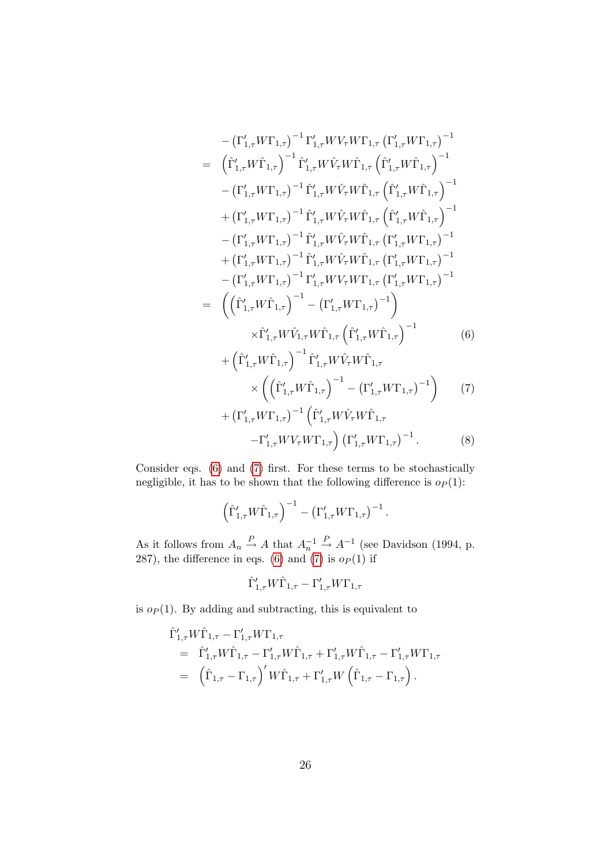$$
-(\Gamma'_{1,\tau}W\Gamma_{1,\tau})^{-1}\Gamma'_{1,\tau}WV_{\tau}W\Gamma_{1,\tau}(\Gamma'_{1,\tau}W\Gamma_{1,\tau})^{-1} \n= (\hat{\Gamma}'_{1,\tau}W\hat{\Gamma}_{1,\tau})^{-1}\hat{\Gamma}'_{1,\tau}W\hat{V}_{\tau}W\hat{\Gamma}_{1,\tau}(\hat{\Gamma}'_{1,\tau}W\hat{\Gamma}_{1,\tau})^{-1} \n- (\Gamma'_{1,\tau}W\Gamma_{1,\tau})^{-1}\hat{\Gamma}'_{1,\tau}W\hat{V}_{\tau}W\hat{\Gamma}_{1,\tau}(\hat{\Gamma}'_{1,\tau}W\hat{\Gamma}_{1,\tau})^{-1} \n+ (\Gamma'_{1,\tau}W\Gamma_{1,\tau})^{-1}\hat{\Gamma}'_{1,\tau}W\hat{V}_{\tau}W\hat{\Gamma}_{1,\tau}(\hat{\Gamma}'_{1,\tau}W\hat{\Gamma}_{1,\tau})^{-1} \n- (\Gamma'_{1,\tau}W\Gamma_{1,\tau})^{-1}\hat{\Gamma}'_{1,\tau}W\hat{V}_{\tau}W\hat{\Gamma}_{1,\tau}(\Gamma'_{1,\tau}W\Gamma_{1,\tau})^{-1} \n+ (\Gamma'_{1,\tau}W\Gamma_{1,\tau})^{-1}\hat{\Gamma}'_{1,\tau}W\hat{V}_{\tau}W\hat{\Gamma}_{1,\tau}(\Gamma'_{1,\tau}W\Gamma_{1,\tau})^{-1} \n- (\Gamma'_{1,\tau}W\Gamma_{1,\tau})^{-1}\hat{\Gamma}'_{1,\tau}WV_{\tau}W\Gamma_{1,\tau}(\Gamma'_{1,\tau}W\Gamma_{1,\tau})^{-1} \n- (\Gamma'_{1,\tau}W\Gamma_{1,\tau})^{-1}\Gamma'_{1,\tau}WV_{\tau}W\Gamma_{1,\tau}(\Gamma'_{1,\tau}W\Gamma_{1,\tau})^{-1} \n\leq (\hat{\Gamma}'_{1,\tau}W\hat{\Gamma}_{1,\tau})^{-1} - (\Gamma'_{1,\tau}W\Gamma_{1,\tau})^{-1}) \times \hat{\Gamma}'_{1,\tau}W\hat{V}_{1,\tau}W\hat{\Gamma}_{1,\tau}(\hat{\Gamma}'_{1,\tau}W\hat{\Gamma}_{1,\tau})^{-1} \qquad (6) \n+ (\hat{\Gamma}'_{1,\tau}W\hat{\Gamma}_{1,\tau})^{-1}\hat{\Gamma}'_{1,\tau}W\hat{V}_{\tau}W\hat{\Gamma}_{1,\tau} \times ((\hat{\Gamma}'_{1,\tau}W\hat{\Gamma}_{1,\tau})^{-1} - (\Gamma'_{
$$

Consider eqs. [\(6\)](#page-24-0) and [\(7\)](#page-24-0) first. For these terms to be stochastically negligible, it has to be shown that the following difference is  $o_P(1)$ :

$$
\left(\hat{\Gamma}'_{1,\tau}W\hat{\Gamma}_{1,\tau}\right)^{-1}-\left(\Gamma'_{1,\tau}W\Gamma_{1,\tau}\right)^{-1}.
$$

As it follows from  $A_n \stackrel{P}{\rightarrow} A$  that  $A_n^{-1} \stackrel{P}{\rightarrow} A^{-1}$  (see Davidson (1994, p. 287), the difference in eqs. [\(6\)](#page-24-0) and [\(7\)](#page-24-0) is  $o_P(1)$  if

$$
\hat{\Gamma}'_{1,\tau} W \hat{\Gamma}_{1,\tau} - \Gamma'_{1,\tau} W \Gamma_{1,\tau}
$$

is  $o_P(1)$ . By adding and subtracting, this is equivalent to

$$
\hat{\Gamma}'_{1,\tau} W \hat{\Gamma}_{1,\tau} - \Gamma'_{1,\tau} W \Gamma_{1,\tau} \n= \hat{\Gamma}'_{1,\tau} W \hat{\Gamma}_{1,\tau} - \Gamma'_{1,\tau} W \hat{\Gamma}_{1,\tau} + \Gamma'_{1,\tau} W \hat{\Gamma}_{1,\tau} - \Gamma'_{1,\tau} W \Gamma_{1,\tau} \n= \left( \hat{\Gamma}_{1,\tau} - \Gamma_{1,\tau} \right)' W \hat{\Gamma}_{1,\tau} + \Gamma'_{1,\tau} W \left( \hat{\Gamma}_{1,\tau} - \Gamma_{1,\tau} \right).
$$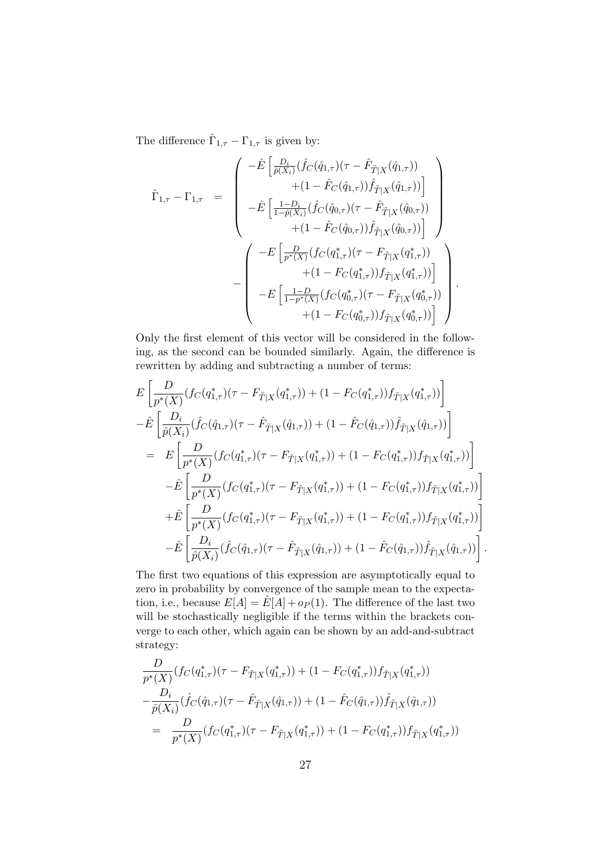The difference  $\hat{\Gamma}_{1,\tau}-\Gamma_{1,\tau}$  is given by:

$$
\hat{\Gamma}_{1,\tau} - \Gamma_{1,\tau} = \begin{pmatrix}\n-\hat{E}\left[\frac{D_i}{\hat{p}(X_i)}(\hat{f}_C(\hat{q}_{1,\tau})(\tau - \hat{F}_{\tilde{T}|X}(\hat{q}_{1,\tau}))\right. \\
\left. + (1 - \hat{F}_C(\hat{q}_{1,\tau}))\hat{f}_{\tilde{T}|X}(\hat{q}_{1,\tau}))\right] \\
-\hat{E}\left[\frac{1 - D_i}{1 - \hat{p}(X_i)}(\hat{f}_C(\hat{q}_{0,\tau})(\tau - \hat{F}_{\tilde{T}|X}(\hat{q}_{0,\tau}))\right. \\
\left. + (1 - \hat{F}_C(\hat{q}_{0,\tau}))\hat{f}_{\tilde{T}|X}(\hat{q}_{0,\tau}))\right] \\
\left. - \left(\frac{-E\left[\frac{D}{p^*(X)}(f_C(q_{1,\tau}^*)(\tau - F_{\tilde{T}|X}(q_{1,\tau}^*))\right. \\
\left. + (1 - F_C(q_{1,\tau}^*))f_{\tilde{T}|X}(q_{1,\tau}^*))\right]\right. \\
\left. - E\left[\frac{1 - D}{1 - p^*(X)}(f_C(q_{0,\tau}^*)(\tau - F_{\tilde{T}|X}(q_{0,\tau}^*))\right.\right) \\
\left. + (1 - F_C(q_{0,\tau}^*))f_{\tilde{T}|X}(q_{0,\tau}^*))\right]\right)\n\end{pmatrix}.
$$

Only the first element of this vector will be considered in the following, as the second can be bounded similarly. Again, the difference is rewritten by adding and subtracting a number of terms:

$$
E\left[\frac{D}{p^*(X)}(f_C(q_{1,\tau}^*)(\tau - F_{\tilde{T}|X}(q_{1,\tau}^*)) + (1 - F_C(q_{1,\tau}^*))f_{\tilde{T}|X}(q_{1,\tau}^*))\right]
$$
  
\n
$$
-\hat{E}\left[\frac{D_i}{\hat{p}(X_i)}(\hat{f}_C(\hat{q}_{1,\tau})(\tau - \hat{F}_{\tilde{T}|X}(\hat{q}_{1,\tau})) + (1 - \hat{F}_C(\hat{q}_{1,\tau}))\hat{f}_{\tilde{T}|X}(\hat{q}_{1,\tau}))\right]
$$
  
\n
$$
= E\left[\frac{D}{p^*(X)}(f_C(q_{1,\tau}^*)(\tau - F_{\tilde{T}|X}(q_{1,\tau}^*)) + (1 - F_C(q_{1,\tau}^*))f_{\tilde{T}|X}(q_{1,\tau}^*))\right]
$$
  
\n
$$
-\hat{E}\left[\frac{D}{p^*(X)}(f_C(q_{1,\tau}^*)(\tau - F_{\tilde{T}|X}(q_{1,\tau}^*)) + (1 - F_C(q_{1,\tau}^*))f_{\tilde{T}|X}(q_{1,\tau}^*))\right]
$$
  
\n
$$
+\hat{E}\left[\frac{D}{p^*(X)}(f_C(q_{1,\tau}^*)(\tau - F_{\tilde{T}|X}(q_{1,\tau}^*)) + (1 - F_C(q_{1,\tau}^*))f_{\tilde{T}|X}(q_{1,\tau}^*))\right]
$$
  
\n
$$
-\hat{E}\left[\frac{D_i}{\hat{p}(X_i)}(\hat{f}_C(\hat{q}_{1,\tau})(\tau - \hat{F}_{\tilde{T}|X}(\hat{q}_{1,\tau})) + (1 - \hat{F}_C(\hat{q}_{1,\tau}))\hat{f}_{\tilde{T}|X}(\hat{q}_{1,\tau}))\right]
$$

.

The first two equations of this expression are asymptotically equal to zero in probability by convergence of the sample mean to the expectation, i.e., because  $E[A] = \hat{E}[A] + op(1)$ . The difference of the last two will be stochastically negligible if the terms within the brackets converge to each other, which again can be shown by an add-and-subtract strategy:

$$
\frac{D}{p^*(X)}(f_C(q_{1,\tau}^*)(\tau - F_{\tilde{T}|X}(q_{1,\tau}^*)) + (1 - F_C(q_{1,\tau}^*))f_{\tilde{T}|X}(q_{1,\tau}^*))
$$
\n
$$
-\frac{D_i}{\hat{p}(X_i)}(\hat{f}_C(\hat{q}_{1,\tau})(\tau - \hat{F}_{\tilde{T}|X}(\hat{q}_{1,\tau})) + (1 - \hat{F}_C(\hat{q}_{1,\tau}))\hat{f}_{\tilde{T}|X}(\hat{q}_{1,\tau}))
$$
\n
$$
= \frac{D}{p^*(X)}(f_C(q_{1,\tau}^*)(\tau - F_{\tilde{T}|X}(q_{1,\tau}^*)) + (1 - F_C(q_{1,\tau}^*))f_{\tilde{T}|X}(q_{1,\tau}^*))
$$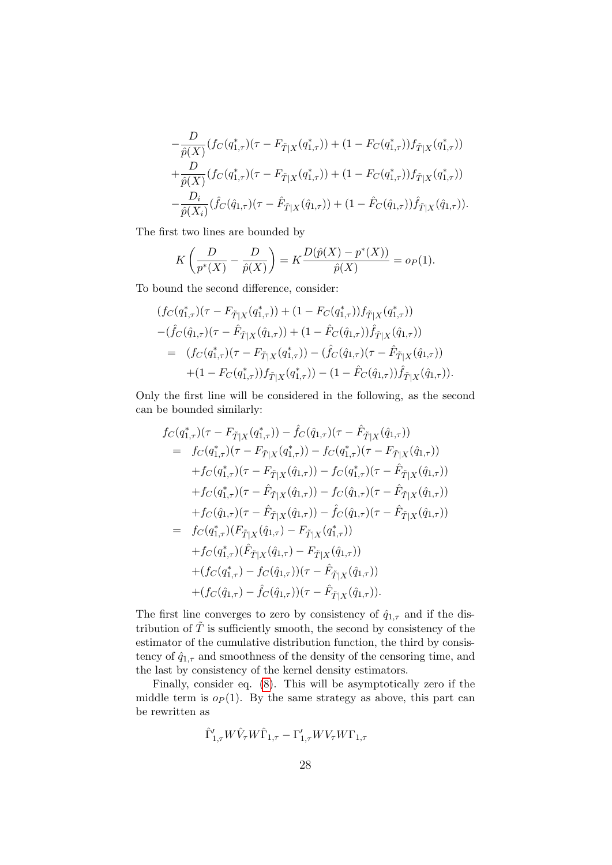$$
-\frac{D}{\hat{p}(X)}(f_C(q_{1,\tau}^*)(\tau - F_{\tilde{T}|X}(q_{1,\tau}^*)) + (1 - F_C(q_{1,\tau}^*))f_{\tilde{T}|X}(q_{1,\tau}^*))
$$
  
+ 
$$
\frac{D}{\hat{p}(X)}(f_C(q_{1,\tau}^*)(\tau - F_{\tilde{T}|X}(q_{1,\tau}^*)) + (1 - F_C(q_{1,\tau}^*))f_{\tilde{T}|X}(q_{1,\tau}^*))
$$
  
- 
$$
\frac{D_i}{\hat{p}(X_i)}(\hat{f}_C(\hat{q}_{1,\tau})(\tau - \hat{F}_{\tilde{T}|X}(\hat{q}_{1,\tau})) + (1 - \hat{F}_C(\hat{q}_{1,\tau}))\hat{f}_{\tilde{T}|X}(\hat{q}_{1,\tau})).
$$

The first two lines are bounded by

$$
K\left(\frac{D}{p^*(X)} - \frac{D}{\hat{p}(X)}\right) = K\frac{D(\hat{p}(X) - p^*(X))}{\hat{p}(X)} = o_P(1).
$$

To bound the second difference, consider:

$$
(fc(q_{1,\tau}^*)(\tau - F_{\tilde{T}|X}(q_{1,\tau}^*)) + (1 - F_C(q_{1,\tau}^*))f_{\tilde{T}|X}(q_{1,\tau}^*))
$$
  

$$
-(\hat{f}_C(\hat{q}_{1,\tau})(\tau - \hat{F}_{\tilde{T}|X}(\hat{q}_{1,\tau})) + (1 - \hat{F}_C(\hat{q}_{1,\tau}))\hat{f}_{\tilde{T}|X}(\hat{q}_{1,\tau}))
$$
  

$$
= (fc(q_{1,\tau}^*)(\tau - F_{\tilde{T}|X}(q_{1,\tau}^*)) - (\hat{f}_C(\hat{q}_{1,\tau})(\tau - \hat{F}_{\tilde{T}|X}(\hat{q}_{1,\tau}))
$$
  

$$
+(1 - F_C(q_{1,\tau}^*))f_{\tilde{T}|X}(q_{1,\tau}^*)) - (1 - \hat{F}_C(\hat{q}_{1,\tau}))\hat{f}_{\tilde{T}|X}(\hat{q}_{1,\tau})).
$$

Only the first line will be considered in the following, as the second can be bounded similarly:

$$
f_C(q_{1,\tau}^*)(\tau - F_{\tilde{T}|X}(q_{1,\tau}^*)) - \hat{f}_C(\hat{q}_{1,\tau})(\tau - \hat{F}_{\tilde{T}|X}(\hat{q}_{1,\tau}))
$$
  
\n
$$
= f_C(q_{1,\tau}^*)(\tau - F_{\tilde{T}|X}(q_{1,\tau}^*)) - f_C(q_{1,\tau}^*)(\tau - F_{\tilde{T}|X}(\hat{q}_{1,\tau}))
$$
  
\n
$$
+ f_C(q_{1,\tau}^*)(\tau - F_{\tilde{T}|X}(\hat{q}_{1,\tau})) - f_C(q_{1,\tau}^*)(\tau - \hat{F}_{\tilde{T}|X}(\hat{q}_{1,\tau}))
$$
  
\n
$$
+ f_C(q_{1,\tau}^*)(\tau - \hat{F}_{\tilde{T}|X}(\hat{q}_{1,\tau})) - f_C(\hat{q}_{1,\tau})(\tau - \hat{F}_{\tilde{T}|X}(\hat{q}_{1,\tau}))
$$
  
\n
$$
+ f_C(\hat{q}_{1,\tau})(\tau - \hat{F}_{\tilde{T}|X}(\hat{q}_{1,\tau})) - \hat{f}_C(\hat{q}_{1,\tau})(\tau - \hat{F}_{\tilde{T}|X}(\hat{q}_{1,\tau}))
$$
  
\n
$$
= f_C(q_{1,\tau}^*)(F_{\tilde{T}|X}(\hat{q}_{1,\tau}) - F_{\tilde{T}|X}(\hat{q}_{1,\tau}))
$$
  
\n
$$
+ f_C(q_{1,\tau}^*)(\hat{F}_{\tilde{T}|X}(\hat{q}_{1,\tau}) - F_{\tilde{T}|X}(\hat{q}_{1,\tau}))
$$
  
\n
$$
+ (f_C(q_{1,\tau}^*) - f_C(\hat{q}_{1,\tau})) (\tau - \hat{F}_{\tilde{T}|X}(\hat{q}_{1,\tau}))
$$
  
\n
$$
+ (f_C(\hat{q}_{1,\tau}) - \hat{f}_C(\hat{q}_{1,\tau})) (\tau - \hat{F}_{\tilde{T}|X}(\hat{q}_{1,\tau})).
$$

The first line converges to zero by consistency of  $\hat{q}_{1,\tau}$  and if the distribution of  $\tilde{T}$  is sufficiently smooth, the second by consistency of the estimator of the cumulative distribution function, the third by consistency of  $\hat{q}_{1,\tau}$  and smoothness of the density of the censoring time, and the last by consistency of the kernel density estimators.

Finally, consider eq. [\(8\)](#page-24-0). This will be asymptotically zero if the middle term is  $o_P(1)$ . By the same strategy as above, this part can be rewritten as

$$
\hat{\Gamma}'_{1,\tau}W\hat{V}_{\tau}W\hat{\Gamma}_{1,\tau}-\Gamma'_{1,\tau}WV_{\tau}W\Gamma_{1,\tau}
$$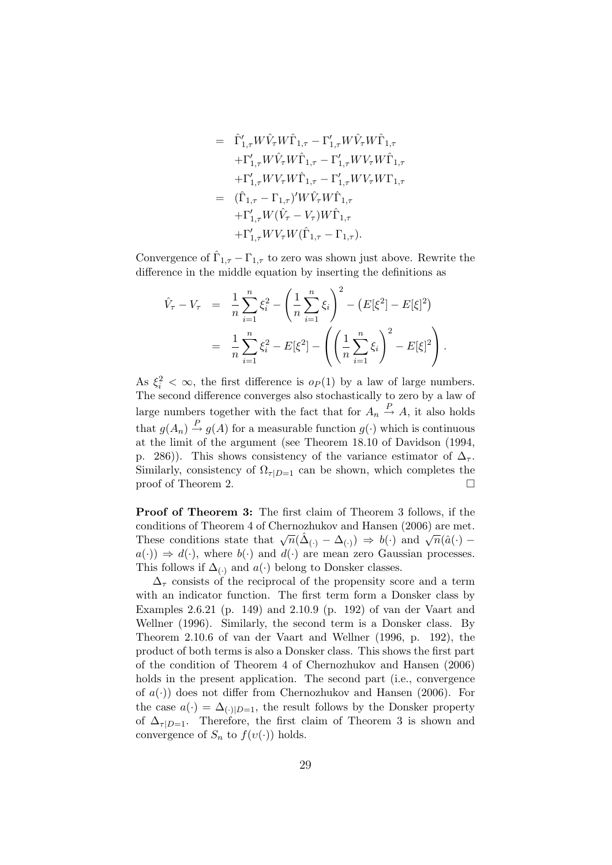$$
= \hat{\Gamma}'_{1,\tau} W \hat{V}_{\tau} W \hat{\Gamma}_{1,\tau} - \Gamma'_{1,\tau} W \hat{V}_{\tau} W \hat{\Gamma}_{1,\tau} + \Gamma'_{1,\tau} W \hat{V}_{\tau} W \hat{\Gamma}_{1,\tau} - \Gamma'_{1,\tau} W V_{\tau} W \hat{\Gamma}_{1,\tau} + \Gamma'_{1,\tau} W V_{\tau} W \hat{\Gamma}_{1,\tau} - \Gamma'_{1,\tau} W V_{\tau} W \Gamma_{1,\tau} = (\hat{\Gamma}_{1,\tau} - \Gamma_{1,\tau})' W \hat{V}_{\tau} W \hat{\Gamma}_{1,\tau} + \Gamma'_{1,\tau} W (\hat{V}_{\tau} - V_{\tau}) W \hat{\Gamma}_{1,\tau} + \Gamma'_{1,\tau} W V_{\tau} W (\hat{\Gamma}_{1,\tau} - \Gamma_{1,\tau}).
$$

Convergence of  $\hat{\Gamma}_{1,\tau}-\Gamma_{1,\tau}$  to zero was shown just above. Rewrite the difference in the middle equation by inserting the definitions as

$$
\hat{V}_{\tau} - V_{\tau} = \frac{1}{n} \sum_{i=1}^{n} \xi_i^2 - \left(\frac{1}{n} \sum_{i=1}^{n} \xi_i\right)^2 - \left(E[\xi^2] - E[\xi]^2\right)
$$
\n
$$
= \frac{1}{n} \sum_{i=1}^{n} \xi_i^2 - E[\xi^2] - \left(\left(\frac{1}{n} \sum_{i=1}^{n} \xi_i\right)^2 - E[\xi]^2\right).
$$

As  $\xi_i^2 < \infty$ , the first difference is  $o_P(1)$  by a law of large numbers. The second difference converges also stochastically to zero by a law of large numbers together with the fact that for  $A_n \stackrel{P}{\rightarrow} A$ , it also holds that  $g(A_n) \stackrel{P}{\rightarrow} g(A)$  for a measurable function  $g(\cdot)$  which is continuous at the limit of the argument (see Theorem 18.10 of Davidson (1994, p. 286)). This shows consistency of the variance estimator of  $\Delta_{\tau}$ . Similarly, consistency of  $\Omega_{\tau|D=1}$  can be shown, which completes the proof of Theorem 2.

Proof of Theorem 3: The first claim of Theorem 3 follows, if the conditions of Theorem 4 of Chernozhukov and Hansen (2006) are met. These conditions state that  $\sqrt{n}(\hat{\Delta}_{(\cdot)} - \Delta_{(\cdot)}) \Rightarrow b(\cdot)$  and  $\sqrt{n}(\hat{a}(\cdot) - \Delta_{(\cdot)})$  $a(\cdot) \Rightarrow d(\cdot)$ , where  $b(\cdot)$  and  $d(\cdot)$  are mean zero Gaussian processes. This follows if  $\Delta_{(.)}$  and  $a(.)$  belong to Donsker classes.

 $\Delta_{\tau}$  consists of the reciprocal of the propensity score and a term with an indicator function. The first term form a Donsker class by Examples 2.6.21 (p. 149) and 2.10.9 (p. 192) of van der Vaart and Wellner (1996). Similarly, the second term is a Donsker class. By Theorem 2.10.6 of van der Vaart and Wellner (1996, p. 192), the product of both terms is also a Donsker class. This shows the first part of the condition of Theorem 4 of Chernozhukov and Hansen (2006) holds in the present application. The second part (i.e., convergence of  $a(.)$  does not differ from Chernozhukov and Hansen (2006). For the case  $a(\cdot) = \Delta_{(\cdot)|D=1}$ , the result follows by the Donsker property of  $\Delta_{\tau|D=1}$ . Therefore, the first claim of Theorem 3 is shown and convergence of  $S_n$  to  $f(v(\cdot))$  holds.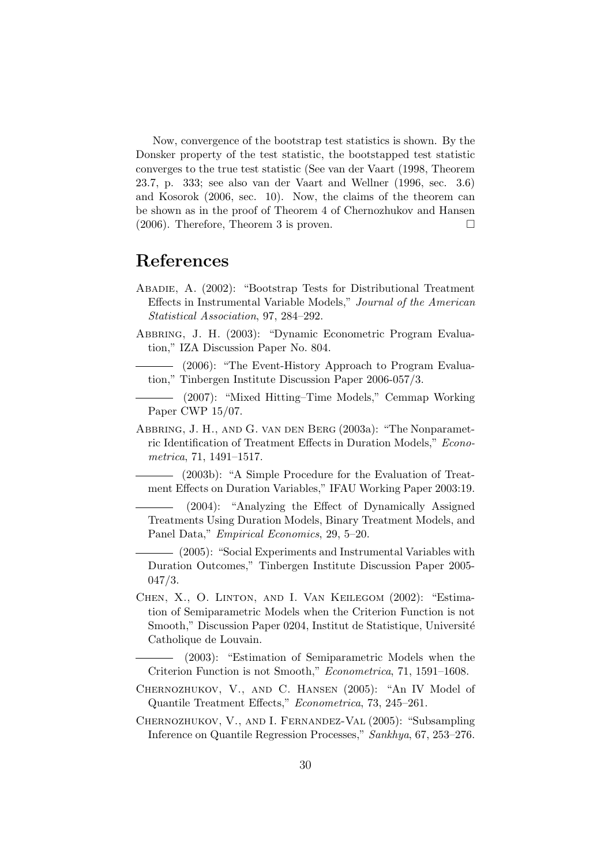Now, convergence of the bootstrap test statistics is shown. By the Donsker property of the test statistic, the bootstapped test statistic converges to the true test statistic (See van der Vaart (1998, Theorem 23.7, p. 333; see also van der Vaart and Wellner (1996, sec. 3.6) and Kosorok (2006, sec. 10). Now, the claims of the theorem can be shown as in the proof of Theorem 4 of Chernozhukov and Hansen  $(2006)$ . Therefore, Theorem 3 is proven.

## References

- Abadie, A. (2002): "Bootstrap Tests for Distributional Treatment Effects in Instrumental Variable Models," Journal of the American Statistical Association, 97, 284–292.
- Abbring, J. H. (2003): "Dynamic Econometric Program Evaluation," IZA Discussion Paper No. 804.
- (2006): "The Event-History Approach to Program Evaluation," Tinbergen Institute Discussion Paper 2006-057/3.
- (2007): "Mixed Hitting–Time Models," Cemmap Working Paper CWP 15/07.
- Abbring, J. H., and G. van den Berg (2003a): "The Nonparametric Identification of Treatment Effects in Duration Models," Econometrica, 71, 1491–1517.
- (2003b): "A Simple Procedure for the Evaluation of Treatment Effects on Duration Variables," IFAU Working Paper 2003:19.
- (2004): "Analyzing the Effect of Dynamically Assigned Treatments Using Duration Models, Binary Treatment Models, and Panel Data," Empirical Economics, 29, 5–20.
- (2005): "Social Experiments and Instrumental Variables with Duration Outcomes," Tinbergen Institute Discussion Paper 2005- 047/3.
- Chen, X., O. Linton, and I. Van Keilegom (2002): "Estimation of Semiparametric Models when the Criterion Function is not Smooth," Discussion Paper 0204, Institut de Statistique, Université Catholique de Louvain.

(2003): "Estimation of Semiparametric Models when the Criterion Function is not Smooth," Econometrica, 71, 1591–1608.

- Chernozhukov, V., and C. Hansen (2005): "An IV Model of Quantile Treatment Effects," Econometrica, 73, 245–261.
- Chernozhukov, V., and I. Fernandez-Val (2005): "Subsampling Inference on Quantile Regression Processes," Sankhya, 67, 253–276.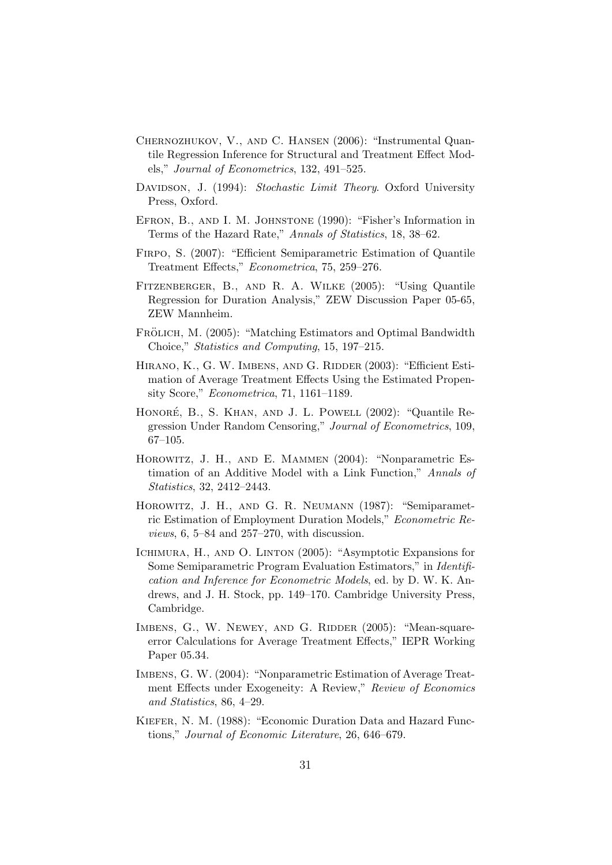- Chernozhukov, V., and C. Hansen (2006): "Instrumental Quantile Regression Inference for Structural and Treatment Effect Models," Journal of Econometrics, 132, 491–525.
- DAVIDSON, J. (1994): Stochastic Limit Theory. Oxford University Press, Oxford.
- Efron, B., and I. M. Johnstone (1990): "Fisher's Information in Terms of the Hazard Rate," Annals of Statistics, 18, 38–62.
- Firpo, S. (2007): "Efficient Semiparametric Estimation of Quantile Treatment Effects," Econometrica, 75, 259–276.
- Fitzenberger, B., and R. A. Wilke (2005): "Using Quantile Regression for Duration Analysis," ZEW Discussion Paper 05-65, ZEW Mannheim.
- FRÖLICH, M. (2005): "Matching Estimators and Optimal Bandwidth Choice," Statistics and Computing, 15, 197–215.
- HIRANO, K., G. W. IMBENS, AND G. RIDDER (2003): "Efficient Estimation of Average Treatment Effects Using the Estimated Propensity Score," Econometrica, 71, 1161–1189.
- HONORÉ, B., S. KHAN, AND J. L. POWELL (2002): "Quantile Regression Under Random Censoring," Journal of Econometrics, 109, 67–105.
- HOROWITZ, J. H., AND E. MAMMEN (2004): "Nonparametric Estimation of an Additive Model with a Link Function," Annals of Statistics, 32, 2412–2443.
- Horowitz, J. H., and G. R. Neumann (1987): "Semiparametric Estimation of Employment Duration Models," Econometric Re $views, 6, 5–84, and 257–270, with discussion.$
- Ichimura, H., and O. Linton (2005): "Asymptotic Expansions for Some Semiparametric Program Evaluation Estimators," in Identification and Inference for Econometric Models, ed. by D. W. K. Andrews, and J. H. Stock, pp. 149–170. Cambridge University Press, Cambridge.
- IMBENS, G., W. NEWEY, AND G. RIDDER (2005): "Mean-squareerror Calculations for Average Treatment Effects," IEPR Working Paper 05.34.
- Imbens, G. W. (2004): "Nonparametric Estimation of Average Treatment Effects under Exogeneity: A Review," Review of Economics and Statistics, 86, 4–29.
- Kiefer, N. M. (1988): "Economic Duration Data and Hazard Functions," Journal of Economic Literature, 26, 646–679.